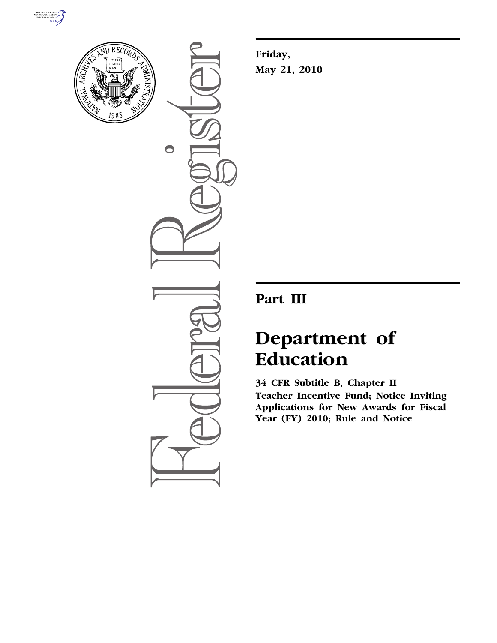



 $\bullet$ 

**Friday, May 21, 2010** 

## **Part III**

# **Department of Education**

**34 CFR Subtitle B, Chapter II Teacher Incentive Fund; Notice Inviting Applications for New Awards for Fiscal Year (FY) 2010; Rule and Notice**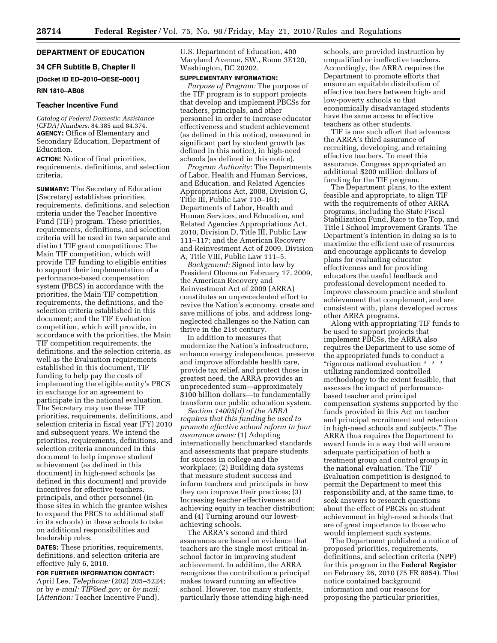#### **DEPARTMENT OF EDUCATION**

#### **34 CFR Subtitle B, Chapter II**

## **[Docket ID ED–2010–OESE–0001]**

#### **RIN 1810–AB08**

#### **Teacher Incentive Fund**

*Catalog of Federal Domestic Assistance (CFDA) Numbers:* 84.385 and 84.374. **AGENCY:** Office of Elementary and Secondary Education, Department of Education.

**ACTION:** Notice of final priorities, requirements, definitions, and selection criteria.

**SUMMARY:** The Secretary of Education (Secretary) establishes priorities, requirements, definitions, and selection criteria under the Teacher Incentive Fund (TIF) program. These priorities, requirements, definitions, and selection criteria will be used in two separate and distinct TIF grant competitions: The Main TIF competition, which will provide TIF funding to eligible entities to support their implementation of a performance-based compensation system (PBCS) in accordance with the priorities, the Main TIF competition requirements, the definitions, and the selection criteria established in this document; and the TIF Evaluation competition, which will provide, in accordance with the priorities, the Main TIF competition requirements, the definitions, and the selection criteria, as well as the Evaluation requirements established in this document, TIF funding to help pay the costs of implementing the eligible entity's PBCS in exchange for an agreement to participate in the national evaluation. The Secretary may use these TIF priorities, requirements, definitions, and selection criteria in fiscal year (FY) 2010 and subsequent years. We intend the priorities, requirements, definitions, and selection criteria announced in this document to help improve student achievement (as defined in this document) in high-need schools (as defined in this document) and provide incentives for effective teachers, principals, and other personnel (in those sites in which the grantee wishes to expand the PBCS to additional staff in its schools) in these schools to take on additional responsibilities and leadership roles.

**DATES:** These priorities, requirements, definitions, and selection criteria are effective July 6, 2010.

#### **FOR FURTHER INFORMATION CONTACT:**

April Lee, *Telephone:* (202) 205–5224; or by *e-mail: TIF@ed.gov;* or *by mail:*  (*Attention:* Teacher Incentive Fund),

U.S. Department of Education, 400 Maryland Avenue, SW., Room 3E120, Washington, DC 20202.

#### **SUPPLEMENTARY INFORMATION:**

*Purpose of Program:* The purpose of the TIF program is to support projects that develop and implement PBCSs for teachers, principals, and other personnel in order to increase educator effectiveness and student achievement (as defined in this notice), measured in significant part by student growth (as defined in this notice), in high-need schools (as defined in this notice).

*Program Authority:* The Departments of Labor, Health and Human Services, and Education, and Related Agencies Appropriations Act, 2008, Division G, Title III, Public Law 110–161; Departments of Labor, Health and Human Services, and Education, and Related Agencies Appropriations Act, 2010, Division D, Title III, Public Law 111–117; and the American Recovery and Reinvestment Act of 2009, Division A, Title VIII, Public Law 111–5.

*Background:* Signed into law by President Obama on February 17, 2009, the American Recovery and Reinvestment Act of 2009 (ARRA) constitutes an unprecedented effort to revive the Nation's economy, create and save millions of jobs, and address longneglected challenges so the Nation can thrive in the 21st century.

In addition to measures that modernize the Nation's infrastructure, enhance energy independence, preserve and improve affordable health care, provide tax relief, and protect those in greatest need, the ARRA provides an unprecedented sum—approximately \$100 billion dollars—to fundamentally transform our public education system.

*Section 14005(d) of the ARRA requires that this funding be used to promote effective school reform in four assurance areas:* (1) Adopting internationally benchmarked standards and assessments that prepare students for success in college and the workplace; (2) Building data systems that measure student success and inform teachers and principals in how they can improve their practices; (3) Increasing teacher effectiveness and achieving equity in teacher distribution; and (4) Turning around our lowestachieving schools.

The ARRA's second and third assurances are based on evidence that teachers are the single most critical inschool factor in improving student achievement. In addition, the ARRA recognizes the contribution a principal makes toward running an effective school. However, too many students, particularly those attending high-need

schools, are provided instruction by unqualified or ineffective teachers. Accordingly, the ARRA requires the Department to promote efforts that ensure an equitable distribution of effective teachers between high- and low-poverty schools so that economically disadvantaged students have the same access to effective teachers as other students.

TIF is one such effort that advances the ARRA's third assurance of recruiting, developing, and retaining effective teachers. To meet this assurance, Congress appropriated an additional \$200 million dollars of funding for the TIF program.

The Department plans, to the extent feasible and appropriate, to align TIF with the requirements of other ARRA programs, including the State Fiscal Stabilization Fund, Race to the Top, and Title I School Improvement Grants. The Department's intention in doing so is to maximize the efficient use of resources and encourage applicants to develop plans for evaluating educator effectiveness and for providing educators the useful feedback and professional development needed to improve classroom practice and student achievement that complement, and are consistent with, plans developed across other ARRA programs.

Along with appropriating TIF funds to be used to support projects that implement PBCSs, the ARRA also requires the Department to use some of the appropriated funds to conduct a ''rigorous national evaluation \* \* \* utilizing randomized controlled methodology to the extent feasible, that assesses the impact of performancebased teacher and principal compensation systems supported by the funds provided in this Act on teacher and principal recruitment and retention in high-need schools and subjects.'' The ARRA thus requires the Department to award funds in a way that will ensure adequate participation of both a treatment group and control group in the national evaluation. The TIF Evaluation competition is designed to permit the Department to meet this responsibility and, at the same time, to seek answers to research questions about the effect of PBCSs on student achievement in high-need schools that are of great importance to those who would implement such systems.

The Department published a notice of proposed priorities, requirements, definitions, and selection criteria (NPP) for this program in the **Federal Register**  on February 26, 2010 (75 FR 8854). That notice contained background information and our reasons for proposing the particular priorities,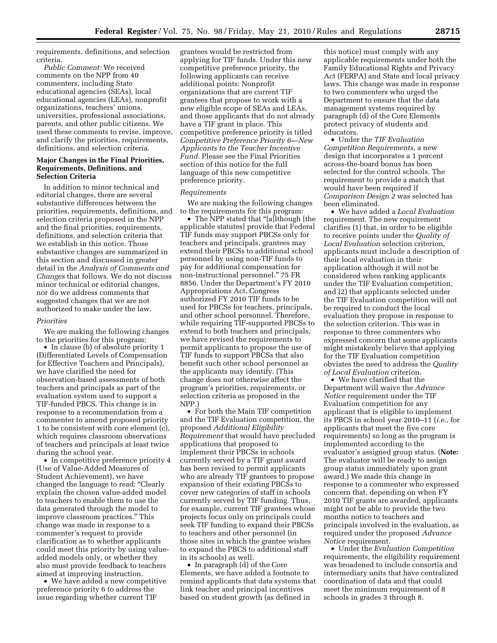requirements, definitions, and selection criteria.

*Public Comment:* We received comments on the NPP from 40 commenters, including State educational agencies (SEAs), local educational agencies (LEAs), nonprofit organizations, teachers' unions, universities, professional associations, parents, and other public citizens. We used these comments to revise, improve, and clarify the priorities, requirements, definitions, and selection criteria.

#### **Major Changes in the Final Priorities, Requirements, Definitions, and Selection Criteria**

In addition to minor technical and editorial changes, there are several substantive differences between the priorities, requirements, definitions, and selection criteria proposed in the NPP and the final priorities, requirements, definitions, and selection criteria that we establish in this notice. Those substantive changes are summarized in this section and discussed in greater detail in the *Analysis of Comments and Changes* that follows. We do not discuss minor technical or editorial changes, nor do we address comments that suggested changes that we are not authorized to make under the law.

#### *Priorities*

We are making the following changes to the priorities for this program:

• In clause (b) of absolute priority 1 (Differentiated Levels of Compensation for Effective Teachers and Principals), we have clarified the need for observation-based assessments of both teachers and principals as part of the evaluation system used to support a TIF-funded PBCS. This change is in response to a recommendation from a commenter to amend proposed priority 1 to be consistent with core element (c), which requires classroom observations of teachers and principals at least twice during the school year.

• In competitive preference priority 4 (Use of Value-Added Measures of Student Achievement), we have changed the language to read: ''Clearly explain the chosen value-added model to teachers to enable them to use the data generated through the model to improve classroom practices.'' This change was made in response to a commenter's request to provide clarification as to whether applicants could meet this priority by using valueadded models only, or whether they also must provide feedback to teachers aimed at improving instruction.

• We have added a new competitive preference priority 6 to address the issue regarding whether current TIF

grantees would be restricted from applying for TIF funds. Under this new competitive preference priority, the following applicants can receive additional points: Nonprofit organizations that are current TIF grantees that propose to work with a new eligible scope of SEAs and LEAs, and those applicants that do not already have a TIF grant in place. This competitive preference priority is titled *Competitive Preference Priority 6—New Applicants to the Teacher Incentive Fund.* Please see the Final Priorities section of this notice for the full language of this new competitive preference priority.

#### *Requirements*

We are making the following changes to the requirements for this program:

• The NPP stated that "[a]lthough [the applicable statutes] provide that Federal TIF funds may support PBCSs only for teachers and principals, grantees may extend their PBCSs to additional school personnel by using non-TIF funds to pay for additional compensation for non-instructional personnel.'' 75 FR 8856. Under the Department's FY 2010 Appropriations Act, Congress authorized FY 2010 TIF funds to be used for PBCSs for teachers, principals, and other school personnel. Therefore, while requiring TIF-supported PBCSs to extend to both teachers and principals, we have revised the requirements to permit applicants to propose the use of TIF funds to support PBCSs that also benefit such other school personnel as the applicants may identify. (This change does not otherwise affect the program's priorities, requirements, or selection criteria as proposed in the NPP.)

• For both the Main TIF competition and the TIF Evaluation competition, the proposed *Additional Eligibility Requirement* that would have precluded applications that proposed to implement their PBCSs in schools currently served by a TIF grant award has been revised to permit applicants who are already TIF grantees to propose expansion of their existing PBCSs to cover new categories of staff in schools currently served by TIF funding. Thus, for example, current TIF grantees whose projects focus only on principals could seek TIF funding to expand their PBCSs to teachers and other personnel (in those sites in which the grantee wishes to expand the PBCS to additional staff in its schools) as well.

• In paragraph (d) of the Core Elements, we have added a footnote to remind applicants that data systems that link teacher and principal incentives based on student growth (as defined in

this notice) must comply with any applicable requirements under both the Family Educational Rights and Privacy Act (FERPA) and State and local privacy laws. This change was made in response to two commenters who urged the Department to ensure that the data management systems required by paragraph (d) of the Core Elements protect privacy of students and educators.

• Under the *TIF Evaluation Competition Requirements,* a new design that incorporates a 1 percent across-the-board bonus has been selected for the control schools. The requirement to provide a match that would have been required if *Comparison Design 2* was selected has been eliminated.

• We have added a *Local Evaluation*  requirement. The new requirement clarifies (1) that, in order to be eligible to receive points under the *Quality of Local Evaluation* selection criterion, applicants must include a description of their local evaluation in their application although it will not be considered when ranking applicants under the TIF Evaluation competition, and (2) that applicants selected under the TIF Evaluation competition will not be required to conduct the local evaluation they propose in response to the selection criterion. This was in response to three commenters who expressed concern that some applicants might mistakenly believe that applying for the TIF Evaluation competition obviates the need to address the *Quality of Local Evaluation* criterion.

• We have clarified that the Department will waive the *Advance Notice* requirement under the TIF Evaluation competition for any applicant that is eligible to implement its PBCS in school year 2010–11 (*i.e.,* for applicants that meet the five core requirements) so long as the program is implemented according to the evaluator's assigned group status. (**Note:**  The evaluator will be ready to assign group status immediately upon grant award.) We made this change in response to a commenter who expressed concern that, depending on when FY 2010 TIF grants are awarded, applicants might not be able to provide the two months notice to teachers and principals involved in the evaluation, as required under the proposed *Advance Notice* requirement.

• Under the *Evaluation Competition*  requirements, the eligibility requirement was broadened to include consortia and intermediary units that have centralized coordination of data and that could meet the minimum requirement of 8 schools in grades 3 through 8.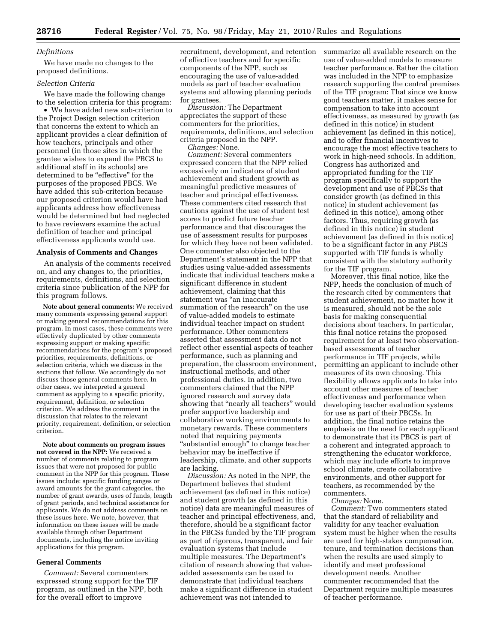#### *Definitions*

We have made no changes to the proposed definitions.

#### *Selection Criteria*

We have made the following change to the selection criteria for this program:

• We have added new sub-criterion to the Project Design selection criterion that concerns the extent to which an applicant provides a clear definition of how teachers, principals and other personnel (in those sites in which the grantee wishes to expand the PBCS to additional staff in its schools) are determined to be "effective" for the purposes of the proposed PBCS. We have added this sub-criterion because our proposed criterion would have had applicants address how effectiveness would be determined but had neglected to have reviewers examine the actual definition of teacher and principal effectiveness applicants would use.

#### **Analysis of Comments and Changes**

An analysis of the comments received on, and any changes to, the priorities, requirements, definitions, and selection criteria since publication of the NPP for this program follows.

**Note about general comments:** We received many comments expressing general support or making general recommendations for this program. In most cases, these comments were effectively duplicated by other comments expressing support or making specific recommendations for the program's proposed priorities, requirements, definitions, or selection criteria, which we discuss in the sections that follow. We accordingly do not discuss those general comments here. In other cases, we interpreted a general comment as applying to a specific priority, requirement, definition, or selection criterion. We address the comment in the discussion that relates to the relevant priority, requirement, definition, or selection criterion.

**Note about comments on program issues not covered in the NPP:** We received a number of comments relating to program issues that were not proposed for public comment in the NPP for this program. These issues include: specific funding ranges or award amounts for the grant categories, the number of grant awards, uses of funds, length of grant periods, and technical assistance for applicants. We do not address comments on these issues here. We note, however, that information on these issues will be made available through other Department documents, including the notice inviting applications for this program.

#### **General Comments**

*Comment:* Several commenters expressed strong support for the TIF program, as outlined in the NPP, both for the overall effort to improve

recruitment, development, and retention of effective teachers and for specific components of the NPP, such as encouraging the use of value-added models as part of teacher evaluation systems and allowing planning periods for grantees.

*Discussion:* The Department appreciates the support of these commenters for the priorities, requirements, definitions, and selection criteria proposed in the NPP.

*Changes:* None. *Comment:* Several commenters expressed concern that the NPP relied excessively on indicators of student achievement and student growth as meaningful predictive measures of teacher and principal effectiveness. These commenters cited research that cautions against the use of student test scores to predict future teacher performance and that discourages the use of assessment results for purposes for which they have not been validated. One commenter also objected to the Department's statement in the NPP that studies using value-added assessments indicate that individual teachers make a significant difference in student achievement, claiming that this statement was "an inaccurate summation of the research'' on the use of value-added models to estimate individual teacher impact on student performance. Other commenters asserted that assessment data do not reflect other essential aspects of teacher performance, such as planning and preparation, the classroom environment, instructional methods, and other professional duties. In addition, two commenters claimed that the NPP ignored research and survey data showing that ''nearly all teachers'' would prefer supportive leadership and collaborative working environments to monetary rewards. These commenters noted that requiring payments ''substantial enough'' to change teacher behavior may be ineffective if leadership, climate, and other supports are lacking.

*Discussion:* As noted in the NPP, the Department believes that student achievement (as defined in this notice) and student growth (as defined in this notice) data are meaningful measures of teacher and principal effectiveness, and, therefore, should be a significant factor in the PBCSs funded by the TIF program as part of rigorous, transparent, and fair evaluation systems that include multiple measures. The Department's citation of research showing that valueadded assessments can be used to demonstrate that individual teachers make a significant difference in student achievement was not intended to

summarize all available research on the use of value-added models to measure teacher performance. Rather the citation was included in the NPP to emphasize research supporting the central premises of the TIF program: That since we know good teachers matter, it makes sense for compensation to take into account effectiveness, as measured by growth (as defined in this notice) in student achievement (as defined in this notice), and to offer financial incentives to encourage the most effective teachers to work in high-need schools. In addition, Congress has authorized and appropriated funding for the TIF program specifically to support the development and use of PBCSs that consider growth (as defined in this notice) in student achievement (as defined in this notice), among other factors. Thus, requiring growth (as defined in this notice) in student achievement (as defined in this notice) to be a significant factor in any PBCS supported with TIF funds is wholly consistent with the statutory authority for the TIF program.

Moreover, this final notice, like the NPP, heeds the conclusion of much of the research cited by commenters that student achievement, no matter how it is measured, should not be the sole basis for making consequential decisions about teachers. In particular, this final notice retains the proposed requirement for at least two observationbased assessments of teacher performance in TIF projects, while permitting an applicant to include other measures of its own choosing. This flexibility allows applicants to take into account other measures of teacher effectiveness and performance when developing teacher evaluation systems for use as part of their PBCSs. In addition, the final notice retains the emphasis on the need for each applicant to demonstrate that its PBCS is part of a coherent and integrated approach to strengthening the educator workforce, which may include efforts to improve school climate, create collaborative environments, and other support for teachers, as recommended by the commenters.

*Changes:* None.

*Comment:* Two commenters stated that the standard of reliability and validity for any teacher evaluation system must be higher when the results are used for high-stakes compensation, tenure, and termination decisions than when the results are used simply to identify and meet professional development needs. Another commenter recommended that the Department require multiple measures of teacher performance.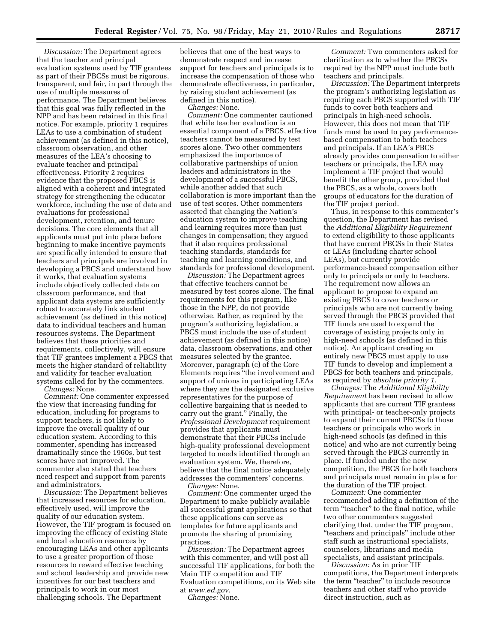*Discussion:* The Department agrees that the teacher and principal evaluation systems used by TIF grantees as part of their PBCSs must be rigorous, transparent, and fair, in part through the use of multiple measures of performance. The Department believes that this goal was fully reflected in the NPP and has been retained in this final notice. For example, priority 1 requires LEAs to use a combination of student achievement (as defined in this notice), classroom observation, and other measures of the LEA's choosing to evaluate teacher and principal effectiveness. Priority 2 requires evidence that the proposed PBCS is aligned with a coherent and integrated strategy for strengthening the educator workforce, including the use of data and evaluations for professional development, retention, and tenure decisions. The core elements that all applicants must put into place before beginning to make incentive payments are specifically intended to ensure that teachers and principals are involved in developing a PBCS and understand how it works, that evaluation systems include objectively collected data on classroom performance, and that applicant data systems are sufficiently robust to accurately link student achievement (as defined in this notice) data to individual teachers and human resources systems. The Department believes that these priorities and requirements, collectively, will ensure that TIF grantees implement a PBCS that meets the higher standard of reliability and validity for teacher evaluation systems called for by the commenters.

*Changes:* None.

*Comment:* One commenter expressed the view that increasing funding for education, including for programs to support teachers, is not likely to improve the overall quality of our education system. According to this commenter, spending has increased dramatically since the 1960s, but test scores have not improved. The commenter also stated that teachers need respect and support from parents and administrators.

*Discussion:* The Department believes that increased resources for education, effectively used, will improve the quality of our education system. However, the TIF program is focused on improving the efficacy of existing State and local education resources by encouraging LEAs and other applicants to use a greater proportion of those resources to reward effective teaching and school leadership and provide new incentives for our best teachers and principals to work in our most challenging schools. The Department

believes that one of the best ways to demonstrate respect and increase support for teachers and principals is to increase the compensation of those who demonstrate effectiveness, in particular, by raising student achievement (as defined in this notice).

*Changes:* None.

*Comment:* One commenter cautioned that while teacher evaluation is an essential component of a PBCS, effective teachers cannot be measured by test scores alone. Two other commenters emphasized the importance of collaborative partnerships of union leaders and administrators in the development of a successful PBCS, while another added that such collaboration is more important than the use of test scores. Other commenters asserted that changing the Nation's education system to improve teaching and learning requires more than just changes in compensation; they argued that it also requires professional teaching standards, standards for teaching and learning conditions, and standards for professional development.

*Discussion:* The Department agrees that effective teachers cannot be measured by test scores alone. The final requirements for this program, like those in the NPP, do not provide otherwise. Rather, as required by the program's authorizing legislation, a PBCS must include the use of student achievement (as defined in this notice) data, classroom observations, and other measures selected by the grantee. Moreover, paragraph (c) of the Core Elements requires ''the involvement and support of unions in participating LEAs where they are the designated exclusive representatives for the purpose of collective bargaining that is needed to carry out the grant.'' Finally, the *Professional Development* requirement provides that applicants must demonstrate that their PBCSs include high-quality professional development targeted to needs identified through an evaluation system. We, therefore, believe that the final notice adequately addresses the commenters' concerns. *Changes:* None.

*Comment:* One commenter urged the Department to make publicly available all successful grant applications so that these applications can serve as templates for future applicants and promote the sharing of promising practices.

*Discussion:* The Department agrees with this commenter, and will post all successful TIF applications, for both the Main TIF competition and TIF Evaluation competitions, on its Web site at *www.ed.gov.* 

*Changes:* None.

*Comment:* Two commenters asked for clarification as to whether the PBCSs required by the NPP must include both teachers and principals.

*Discussion:* The Department interprets the program's authorizing legislation as requiring each PBCS supported with TIF funds to cover both teachers and principals in high-need schools. However, this does not mean that TIF funds must be used to pay performancebased compensation to both teachers and principals. If an LEA's PBCS already provides compensation to either teachers or principals, the LEA may implement a TIF project that would benefit the other group, provided that the PBCS, as a whole, covers both groups of educators for the duration of the TIF project period.

Thus, in response to this commenter's question, the Department has revised the *Additional Eligibility Requirement*  to extend eligibility to those applicants that have current PBCSs in their States or LEAs (including charter school LEAs), but currently provide performance-based compensation either only to principals or only to teachers. The requirement now allows an applicant to propose to expand an existing PBCS to cover teachers or principals who are not currently being served through the PBCS provided that TIF funds are used to expand the coverage of existing projects only in high-need schools (as defined in this notice). An applicant creating an entirely new PBCS must apply to use TIF funds to develop and implement a PBCS for both teachers and principals, as required by *absolute priority 1.* 

*Changes:* The *Additional Eligibility Requirement* has been revised to allow applicants that are current TIF grantees with principal- or teacher-only projects to expand their current PBCSs to those teachers or principals who work in high-need schools (as defined in this notice) and who are not currently being served through the PBCS currently in place. If funded under the new competition, the PBCS for both teachers and principals must remain in place for the duration of the TIF project.

*Comment:* One commenter recommended adding a definition of the term "teacher" to the final notice, while two other commenters suggested clarifying that, under the TIF program, ''teachers and principals'' include other staff such as instructional specialists, counselors, librarians and media specialists, and assistant principals.

*Discussion:* As in prior TIF competitions, the Department interprets the term "teacher" to include resource teachers and other staff who provide direct instruction, such as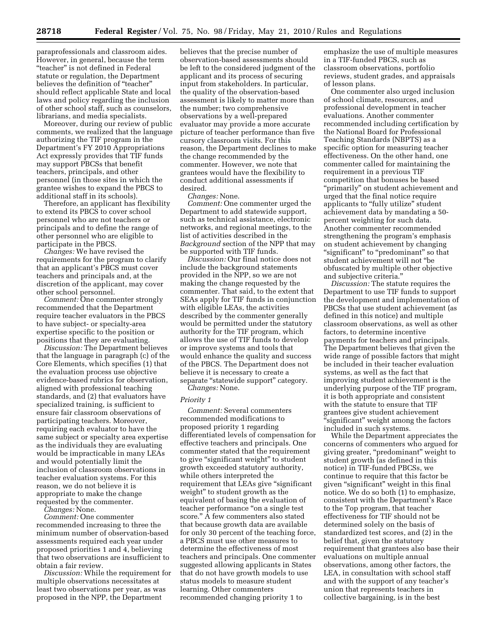paraprofessionals and classroom aides. However, in general, because the term ''teacher'' is not defined in Federal statute or regulation, the Department believes the definition of ''teacher'' should reflect applicable State and local laws and policy regarding the inclusion of other school staff, such as counselors, librarians, and media specialists.

Moreover, during our review of public comments, we realized that the language authorizing the TIF program in the Department's FY 2010 Appropriations Act expressly provides that TIF funds may support PBCSs that benefit teachers, principals, and other personnel (in those sites in which the grantee wishes to expand the PBCS to additional staff in its schools).

Therefore, an applicant has flexibility to extend its PBCS to cover school personnel who are not teachers or principals and to define the range of other personnel who are eligible to participate in the PBCS.

*Changes:* We have revised the requirements for the program to clarify that an applicant's PBCS must cover teachers and principals and, at the discretion of the applicant, may cover other school personnel.

*Comment:* One commenter strongly recommended that the Department require teacher evaluators in the PBCS to have subject- or specialty-area expertise specific to the position or positions that they are evaluating.

*Discussion:* The Department believes that the language in paragraph (c) of the Core Elements, which specifies (1) that the evaluation process use objective evidence-based rubrics for observation, aligned with professional teaching standards, and (2) that evaluators have specialized training, is sufficient to ensure fair classroom observations of participating teachers. Moreover, requiring each evaluator to have the same subject or specialty area expertise as the individuals they are evaluating would be impracticable in many LEAs and would potentially limit the inclusion of classroom observations in teacher evaluation systems. For this reason, we do not believe it is appropriate to make the change requested by the commenter.

*Changes:* None.

*Comment:* One commenter recommended increasing to three the minimum number of observation-based assessments required each year under proposed priorities 1 and 4, believing that two observations are insufficient to obtain a fair review.

*Discussion:* While the requirement for multiple observations necessitates at least two observations per year, as was proposed in the NPP, the Department

believes that the precise number of observation-based assessments should be left to the considered judgment of the applicant and its process of securing input from stakeholders. In particular, the quality of the observation-based assessment is likely to matter more than the number; two comprehensive observations by a well-prepared evaluator may provide a more accurate picture of teacher performance than five cursory classroom visits. For this reason, the Department declines to make the change recommended by the commenter. However, we note that grantees would have the flexibility to conduct additional assessments if desired.

*Changes:* None.

*Comment:* One commenter urged the Department to add statewide support, such as technical assistance, electronic networks, and regional meetings, to the list of activities described in the *Background* section of the NPP that may be supported with TIF funds.

*Discussion:* Our final notice does not include the background statements provided in the NPP, so we are not making the change requested by the commenter. That said, to the extent that SEAs apply for TIF funds in conjunction with eligible LEAs, the activities described by the commenter generally would be permitted under the statutory authority for the TIF program, which allows the use of TIF funds to develop or improve systems and tools that would enhance the quality and success of the PBCS. The Department does not believe it is necessary to create a separate ''statewide support'' category. *Changes:* None.

#### *Priority 1*

*Comment:* Several commenters recommended modifications to proposed priority 1 regarding differentiated levels of compensation for effective teachers and principals. One commenter stated that the requirement to give "significant weight" to student growth exceeded statutory authority, while others interpreted the requirement that LEAs give "significant" weight'' to student growth as the equivalent of basing the evaluation of teacher performance ''on a single test score.'' A few commenters also stated that because growth data are available for only 30 percent of the teaching force, a PBCS must use other measures to determine the effectiveness of most teachers and principals. One commenter suggested allowing applicants in States that do not have growth models to use status models to measure student learning. Other commenters recommended changing priority 1 to

emphasize the use of multiple measures in a TIF-funded PBCS, such as classroom observations, portfolio reviews, student grades, and appraisals of lesson plans.

One commenter also urged inclusion of school climate, resources, and professional development in teacher evaluations. Another commenter recommended including certification by the National Board for Professional Teaching Standards (NBPTS) as a specific option for measuring teacher effectiveness. On the other hand, one commenter called for maintaining the requirement in a previous TIF competition that bonuses be based ''primarily'' on student achievement and urged that the final notice require applicants to "fully utilize" student achievement data by mandating a 50 percent weighting for such data. Another commenter recommended strengthening the program's emphasis on student achievement by changing "significant" to "predominant" so that student achievement will not ''be obfuscated by multiple other objective and subjective criteria.''

*Discussion:* The statute requires the Department to use TIF funds to support the development and implementation of PBCSs that use student achievement (as defined in this notice) and multiple classroom observations, as well as other factors, to determine incentive payments for teachers and principals. The Department believes that given the wide range of possible factors that might be included in their teacher evaluation systems, as well as the fact that improving student achievement is the underlying purpose of the TIF program, it is both appropriate and consistent with the statute to ensure that TIF grantees give student achievement "significant" weight among the factors included in such systems.

While the Department appreciates the concerns of commenters who argued for giving greater, "predominant" weight to student growth (as defined in this notice) in TIF-funded PBCSs, we continue to require that this factor be given "significant" weight in this final notice. We do so both (1) to emphasize, consistent with the Department's Race to the Top program, that teacher effectiveness for TIF should not be determined solely on the basis of standardized test scores, and (2) in the belief that, given the statutory requirement that grantees also base their evaluations on multiple annual observations, among other factors, the LEA, in consultation with school staff and with the support of any teacher's union that represents teachers in collective bargaining, is in the best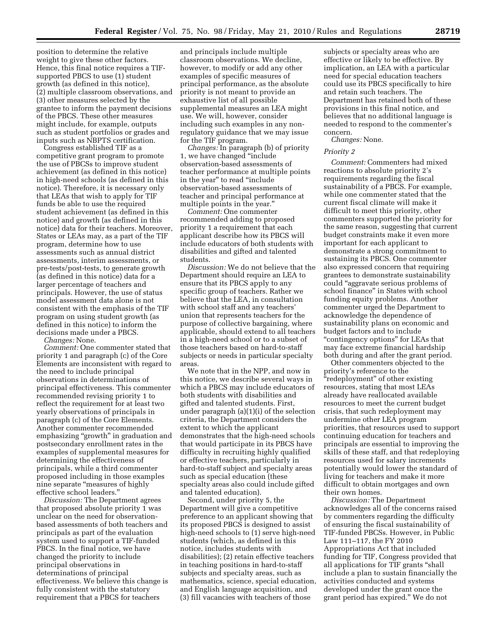position to determine the relative weight to give these other factors. Hence, this final notice requires a TIFsupported PBCS to use (1) student growth (as defined in this notice), (2) multiple classroom observations, and (3) other measures selected by the grantee to inform the payment decisions of the PBCS. These other measures might include, for example, outputs such as student portfolios or grades and inputs such as NBPTS certification.

Congress established TIF as a competitive grant program to promote the use of PBCSs to improve student achievement (as defined in this notice) in high-need schools (as defined in this notice). Therefore, it is necessary only that LEAs that wish to apply for TIF funds be able to use the required student achievement (as defined in this notice) and growth (as defined in this notice) data for their teachers. Moreover, States or LEAs may, as a part of the TIF program, determine how to use assessments such as annual district assessments, interim assessments, or pre-tests/post-tests, to generate growth (as defined in this notice) data for a larger percentage of teachers and principals. However, the use of status model assessment data alone is not consistent with the emphasis of the TIF program on using student growth (as defined in this notice) to inform the decisions made under a PBCS.

*Changes:* None.

*Comment:* One commenter stated that priority 1 and paragraph (c) of the Core Elements are inconsistent with regard to the need to include principal observations in determinations of principal effectiveness. This commenter recommended revising priority 1 to reflect the requirement for at least two yearly observations of principals in paragraph (c) of the Core Elements. Another commenter recommended emphasizing "growth" in graduation and postsecondary enrollment rates in the examples of supplemental measures for determining the effectiveness of principals, while a third commenter proposed including in those examples nine separate ''measures of highly effective school leaders.''

*Discussion:* The Department agrees that proposed absolute priority 1 was unclear on the need for observationbased assessments of both teachers and principals as part of the evaluation system used to support a TIF-funded PBCS. In the final notice, we have changed the priority to include principal observations in determinations of principal effectiveness. We believe this change is fully consistent with the statutory requirement that a PBCS for teachers

and principals include multiple classroom observations. We decline, however, to modify or add any other examples of specific measures of principal performance, as the absolute priority is not meant to provide an exhaustive list of all possible supplemental measures an LEA might use. We will, however, consider including such examples in any nonregulatory guidance that we may issue for the TIF program.

*Changes:* In paragraph (b) of priority 1, we have changed ''include observation-based assessments of teacher performance at multiple points in the year'' to read ''include observation-based assessments of teacher and principal performance at multiple points in the year.''

*Comment:* One commenter recommended adding to proposed priority 1 a requirement that each applicant describe how its PBCS will include educators of both students with disabilities and gifted and talented students.

*Discussion:* We do not believe that the Department should require an LEA to ensure that its PBCS apply to any specific group of teachers. Rather we believe that the LEA, in consultation with school staff and any teachers' union that represents teachers for the purpose of collective bargaining, where applicable, should extend to all teachers in a high-need school or to a subset of those teachers based on hard-to-staff subjects or needs in particular specialty areas.

We note that in the NPP, and now in this notice, we describe several ways in which a PBCS may include educators of both students with disabilities and gifted and talented students. First, under paragraph (a)(1)(i) of the selection criteria, the Department considers the extent to which the applicant demonstrates that the high-need schools that would participate in its PBCS have difficulty in recruiting highly qualified or effective teachers, particularly in hard-to-staff subject and specialty areas such as special education (these specialty areas also could include gifted and talented education).

Second, under priority 5, the Department will give a competitive preference to an applicant showing that its proposed PBCS is designed to assist high-need schools to (1) serve high-need students (which, as defined in this notice, includes students with disabilities); (2) retain effective teachers in teaching positions in hard-to-staff subjects and specialty areas, such as mathematics, science, special education, and English language acquisition, and (3) fill vacancies with teachers of those

subjects or specialty areas who are effective or likely to be effective. By implication, an LEA with a particular need for special education teachers could use its PBCS specifically to hire and retain such teachers. The Department has retained both of these provisions in this final notice, and believes that no additional language is needed to respond to the commenter's concern.

*Changes:* None.

#### *Priority 2*

*Comment:* Commenters had mixed reactions to absolute priority 2's requirements regarding the fiscal sustainability of a PBCS. For example, while one commenter stated that the current fiscal climate will make it difficult to meet this priority, other commenters supported the priority for the same reason, suggesting that current budget constraints make it even more important for each applicant to demonstrate a strong commitment to sustaining its PBCS. One commenter also expressed concern that requiring grantees to demonstrate sustainability could ''aggravate serious problems of school finance'' in States with school funding equity problems. Another commenter urged the Department to acknowledge the dependence of sustainability plans on economic and budget factors and to include "contingency options" for LEAs that may face extreme financial hardship both during and after the grant period.

Other commenters objected to the priority's reference to the ''redeployment'' of other existing resources, stating that most LEAs already have reallocated available resources to meet the current budget crisis, that such redeployment may undermine other LEA program priorities, that resources used to support continuing education for teachers and principals are essential to improving the skills of these staff, and that redeploying resources used for salary increments potentially would lower the standard of living for teachers and make it more difficult to obtain mortgages and own their own homes.

*Discussion:* The Department acknowledges all of the concerns raised by commenters regarding the difficulty of ensuring the fiscal sustainability of TIF-funded PBCSs. However, in Public Law 111–117, the FY 2010 Appropriations Act that included funding for TIF, Congress provided that all applications for TIF grants ''shall include a plan to sustain financially the activities conducted and systems developed under the grant once the grant period has expired.'' We do not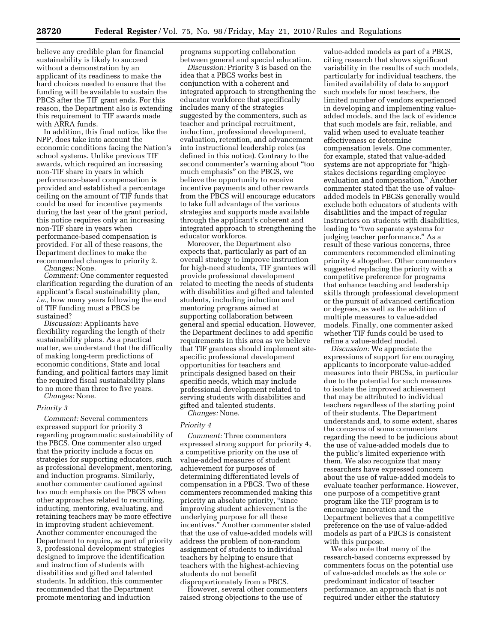believe any credible plan for financial sustainability is likely to succeed without a demonstration by an applicant of its readiness to make the hard choices needed to ensure that the funding will be available to sustain the PBCS after the TIF grant ends. For this reason, the Department also is extending this requirement to TIF awards made with ARRA funds.

In addition, this final notice, like the NPP, does take into account the economic conditions facing the Nation's school systems. Unlike previous TIF awards, which required an increasing non-TIF share in years in which performance-based compensation is provided and established a percentage ceiling on the amount of TIF funds that could be used for incentive payments during the last year of the grant period, this notice requires only an increasing non-TIF share in years when performance-based compensation is provided. For all of these reasons, the Department declines to make the recommended changes to priority 2.

*Changes:* None.

*Comment:* One commenter requested clarification regarding the duration of an applicant's fiscal sustainability plan, *i.e.,* how many years following the end of TIF funding must a PBCS be sustained?

*Discussion:* Applicants have flexibility regarding the length of their sustainability plans. As a practical matter, we understand that the difficulty of making long-term predictions of economic conditions, State and local funding, and political factors may limit the required fiscal sustainability plans to no more than three to five years.

*Changes:* None.

#### *Priority 3*

*Comment:* Several commenters expressed support for priority 3 regarding programmatic sustainability of the PBCS. One commenter also urged that the priority include a focus on strategies for supporting educators, such as professional development, mentoring, and induction programs. Similarly, another commenter cautioned against too much emphasis on the PBCS when other approaches related to recruiting, inducting, mentoring, evaluating, and retaining teachers may be more effective in improving student achievement. Another commenter encouraged the Department to require, as part of priority 3, professional development strategies designed to improve the identification and instruction of students with disabilities and gifted and talented students. In addition, this commenter recommended that the Department promote mentoring and induction

programs supporting collaboration between general and special education.

*Discussion:* Priority 3 is based on the idea that a PBCS works best in conjunction with a coherent and integrated approach to strengthening the educator workforce that specifically includes many of the strategies suggested by the commenters, such as teacher and principal recruitment, induction, professional development, evaluation, retention, and advancement into instructional leadership roles (as defined in this notice). Contrary to the second commenter's warning about ''too much emphasis'' on the PBCS, we believe the opportunity to receive incentive payments and other rewards from the PBCS will encourage educators to take full advantage of the various strategies and supports made available through the applicant's coherent and integrated approach to strengthening the educator workforce.

Moreover, the Department also expects that, particularly as part of an overall strategy to improve instruction for high-need students, TIF grantees will provide professional development related to meeting the needs of students with disabilities and gifted and talented students, including induction and mentoring programs aimed at supporting collaboration between general and special education. However, the Department declines to add specific requirements in this area as we believe that TIF grantees should implement sitespecific professional development opportunities for teachers and principals designed based on their specific needs, which may include professional development related to serving students with disabilities and gifted and talented students.

*Changes:* None.

#### *Priority 4*

*Comment:* Three commenters expressed strong support for priority 4, a competitive priority on the use of value-added measures of student achievement for purposes of determining differentiated levels of compensation in a PBCS. Two of these commenters recommended making this priority an absolute priority, "since improving student achievement is the underlying purpose for all these incentives.'' Another commenter stated that the use of value-added models will address the problem of non-random assignment of students to individual teachers by helping to ensure that teachers with the highest-achieving students do not benefit disproportionately from a PBCS.

However, several other commenters raised strong objections to the use of

value-added models as part of a PBCS, citing research that shows significant variability in the results of such models, particularly for individual teachers, the limited availability of data to support such models for most teachers, the limited number of vendors experienced in developing and implementing valueadded models, and the lack of evidence that such models are fair, reliable, and valid when used to evaluate teacher effectiveness or determine compensation levels. One commenter, for example, stated that value-added systems are not appropriate for "highstakes decisions regarding employee evaluation and compensation.'' Another commenter stated that the use of valueadded models in PBCSs generally would exclude both educators of students with disabilities and the impact of regular instructors on students with disabilities, leading to "two separate systems for judging teacher performance.'' As a result of these various concerns, three commenters recommended eliminating priority 4 altogether. Other commenters suggested replacing the priority with a competitive preference for programs that enhance teaching and leadership skills through professional development or the pursuit of advanced certification or degrees, as well as the addition of multiple measures to value-added models. Finally, one commenter asked whether TIF funds could be used to refine a value-added model.

*Discussion:* We appreciate the expressions of support for encouraging applicants to incorporate value-added measures into their PBCSs, in particular due to the potential for such measures to isolate the improved achievement that may be attributed to individual teachers regardless of the starting point of their students. The Department understands and, to some extent, shares the concerns of some commenters regarding the need to be judicious about the use of value-added models due to the public's limited experience with them. We also recognize that many researchers have expressed concern about the use of value-added models to evaluate teacher performance. However, one purpose of a competitive grant program like the TIF program is to encourage innovation and the Department believes that a competitive preference on the use of value-added models as part of a PBCS is consistent with this purpose.

We also note that many of the research-based concerns expressed by commenters focus on the potential use of value-added models as the sole or predominant indicator of teacher performance, an approach that is not required under either the statutory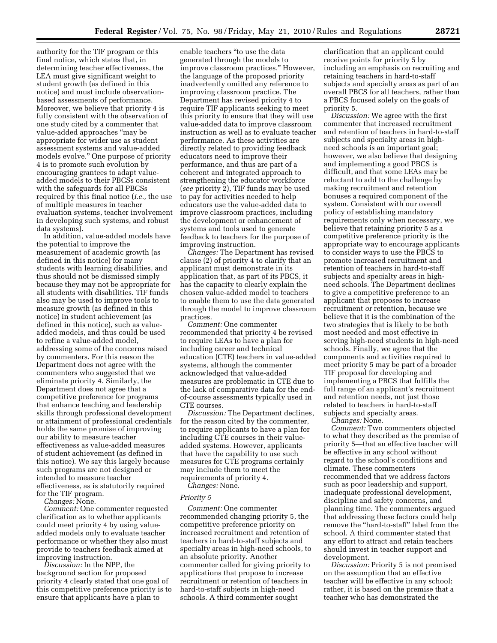authority for the TIF program or this final notice, which states that, in determining teacher effectiveness, the LEA must give significant weight to student growth (as defined in this notice) and must include observationbased assessments of performance. Moreover, we believe that priority 4 is fully consistent with the observation of one study cited by a commenter that value-added approaches ''may be appropriate for wider use as student assessment systems and value-added models evolve.'' One purpose of priority 4 is to promote such evolution by encouraging grantees to adapt valueadded models to their PBCSs consistent with the safeguards for all PBCSs required by this final notice (*i.e.,* the use of multiple measures in teacher evaluation systems, teacher involvement in developing such systems, and robust data systems).

In addition, value-added models have the potential to improve the measurement of academic growth (as defined in this notice) for many students with learning disabilities, and thus should not be dismissed simply because they may not be appropriate for all students with disabilities. TIF funds also may be used to improve tools to measure growth (as defined in this notice) in student achievement (as defined in this notice), such as valueadded models, and thus could be used to refine a value-added model, addressing some of the concerns raised by commenters. For this reason the Department does not agree with the commenters who suggested that we eliminate priority 4. Similarly, the Department does not agree that a competitive preference for programs that enhance teaching and leadership skills through professional development or attainment of professional credentials holds the same promise of improving our ability to measure teacher effectiveness as value-added measures of student achievement (as defined in this notice). We say this largely because such programs are not designed or intended to measure teacher effectiveness, as is statutorily required for the TIF program.

*Changes:* None.

*Comment:* One commenter requested clarification as to whether applicants could meet priority 4 by using valueadded models only to evaluate teacher performance or whether they also must provide to teachers feedback aimed at improving instruction.

*Discussion:* In the NPP, the background section for proposed priority 4 clearly stated that one goal of this competitive preference priority is to ensure that applicants have a plan to

enable teachers ''to use the data generated through the models to improve classroom practices.'' However, the language of the proposed priority inadvertently omitted any reference to improving classroom practice. The Department has revised priority 4 to require TIF applicants seeking to meet this priority to ensure that they will use value-added data to improve classroom instruction as well as to evaluate teacher performance. As these activities are directly related to providing feedback educators need to improve their performance, and thus are part of a coherent and integrated approach to strengthening the educator workforce (*see* priority 2), TIF funds may be used to pay for activities needed to help educators use the value-added data to improve classroom practices, including the development or enhancement of systems and tools used to generate feedback to teachers for the purpose of improving instruction.

*Changes:* The Department has revised clause (2) of priority 4 to clarify that an applicant must demonstrate in its application that, as part of its PBCS, it has the capacity to clearly explain the chosen value-added model to teachers to enable them to use the data generated through the model to improve classroom practices.

*Comment:* One commenter recommended that priority 4 be revised to require LEAs to have a plan for including career and technical education (CTE) teachers in value-added systems, although the commenter acknowledged that value-added measures are problematic in CTE due to the lack of comparative data for the endof-course assessments typically used in CTE courses.

*Discussion:* The Department declines, for the reason cited by the commenter, to require applicants to have a plan for including CTE courses in their valueadded systems. However, applicants that have the capability to use such measures for CTE programs certainly may include them to meet the requirements of priority 4.

*Changes:* None.

#### *Priority 5*

*Comment:* One commenter recommended changing priority 5, the competitive preference priority on increased recruitment and retention of teachers in hard-to-staff subjects and specialty areas in high-need schools, to an absolute priority. Another commenter called for giving priority to applications that propose to increase recruitment or retention of teachers in hard-to-staff subjects in high-need schools. A third commenter sought

clarification that an applicant could receive points for priority 5 by including an emphasis on recruiting and retaining teachers in hard-to-staff subjects and specialty areas as part of an overall PBCS for all teachers, rather than a PBCS focused solely on the goals of priority 5.

*Discussion:* We agree with the first commenter that increased recruitment and retention of teachers in hard-to-staff subjects and specialty areas in highneed schools is an important goal; however, we also believe that designing and implementing a good PBCS is difficult, and that some LEAs may be reluctant to add to the challenge by making recruitment and retention bonuses a required component of the system. Consistent with our overall policy of establishing mandatory requirements only when necessary, we believe that retaining priority 5 as a competitive preference priority is the appropriate way to encourage applicants to consider ways to use the PBCS to promote increased recruitment and retention of teachers in hard-to-staff subjects and specialty areas in highneed schools. The Department declines to give a competitive preference to an applicant that proposes to increase recruitment *or* retention, because we believe that it is the combination of the two strategies that is likely to be both most needed and most effective in serving high-need students in high-need schools. Finally, we agree that the components and activities required to meet priority 5 may be part of a broader TIF proposal for developing and implementing a PBCS that fulfills the full range of an applicant's recruitment and retention needs, not just those related to teachers in hard-to-staff subjects and specialty areas.

*Changes:* None.

*Comment:* Two commenters objected to what they described as the premise of priority 5—that an effective teacher will be effective in any school without regard to the school's conditions and climate. These commenters recommended that we address factors such as poor leadership and support, inadequate professional development, discipline and safety concerns, and planning time. The commenters argued that addressing these factors could help remove the "hard-to-staff" label from the school. A third commenter stated that any effort to attract and retain teachers should invest in teacher support and development.

*Discussion:* Priority 5 is not premised on the assumption that an effective teacher will be effective in any school; rather, it is based on the premise that a teacher who has demonstrated the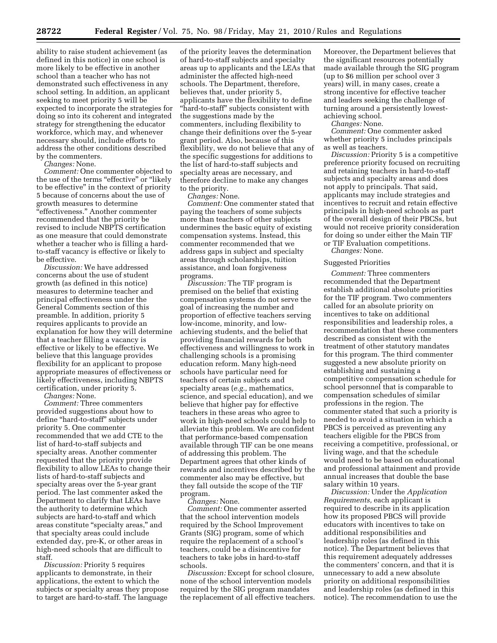ability to raise student achievement (as defined in this notice) in one school is more likely to be effective in another school than a teacher who has not demonstrated such effectiveness in any school setting. In addition, an applicant seeking to meet priority 5 will be expected to incorporate the strategies for doing so into its coherent and integrated strategy for strengthening the educator workforce, which may, and whenever necessary should, include efforts to address the other conditions described by the commenters.

*Changes:* None.

*Comment:* One commenter objected to the use of the terms "effective" or "likely to be effective'' in the context of priority 5 because of concerns about the use of growth measures to determine ''effectiveness.'' Another commenter recommended that the priority be revised to include NBPTS certification as one measure that could demonstrate whether a teacher who is filling a hardto-staff vacancy is effective or likely to be effective.

*Discussion:* We have addressed concerns about the use of student growth (as defined in this notice) measures to determine teacher and principal effectiveness under the General Comments section of this preamble. In addition, priority 5 requires applicants to provide an explanation for how they will determine that a teacher filling a vacancy is effective or likely to be effective. We believe that this language provides flexibility for an applicant to propose appropriate measures of effectiveness or likely effectiveness, including NBPTS certification, under priority 5.

*Changes:* None.

*Comment:* Three commenters provided suggestions about how to define ''hard-to-staff'' subjects under priority 5. One commenter recommended that we add CTE to the list of hard-to-staff subjects and specialty areas. Another commenter requested that the priority provide flexibility to allow LEAs to change their lists of hard-to-staff subjects and specialty areas over the 5-year grant period. The last commenter asked the Department to clarify that LEAs have the authority to determine which subjects are hard-to-staff and which areas constitute ''specialty areas,'' and that specialty areas could include extended day, pre-K, or other areas in high-need schools that are difficult to staff.

*Discussion:* Priority 5 requires applicants to demonstrate, in their applications, the extent to which the subjects or specialty areas they propose to target are hard-to-staff. The language

of the priority leaves the determination of hard-to-staff subjects and specialty areas up to applicants and the LEAs that administer the affected high-need schools. The Department, therefore, believes that, under priority 5, applicants have the flexibility to define ''hard-to-staff'' subjects consistent with the suggestions made by the commenters, including flexibility to change their definitions over the 5-year grant period. Also, because of this flexibility, we do not believe that any of the specific suggestions for additions to the list of hard-to-staff subjects and specialty areas are necessary, and therefore decline to make any changes to the priority.

*Changes:* None.

*Comment:* One commenter stated that paying the teachers of some subjects more than teachers of other subjects undermines the basic equity of existing compensation systems. Instead, this commenter recommended that we address gaps in subject and specialty areas through scholarships, tuition assistance, and loan forgiveness programs.

*Discussion:* The TIF program is premised on the belief that existing compensation systems do not serve the goal of increasing the number and proportion of effective teachers serving low-income, minority, and lowachieving students, and the belief that providing financial rewards for both effectiveness and willingness to work in challenging schools is a promising education reform. Many high-need schools have particular need for teachers of certain subjects and specialty areas (*e.g.,* mathematics, science, and special education), and we believe that higher pay for effective teachers in these areas who agree to work in high-need schools could help to alleviate this problem. We are confident that performance-based compensation available through TIF can be one means of addressing this problem. The Department agrees that other kinds of rewards and incentives described by the commenter also may be effective, but they fall outside the scope of the TIF program.

*Changes:* None.

*Comment:* One commenter asserted that the school intervention models required by the School Improvement Grants (SIG) program, some of which require the replacement of a school's teachers, could be a disincentive for teachers to take jobs in hard-to-staff schools.

*Discussion:* Except for school closure, none of the school intervention models required by the SIG program mandates the replacement of all effective teachers. Moreover, the Department believes that the significant resources potentially made available through the SIG program (up to \$6 million per school over 3 years) will, in many cases, create a strong incentive for effective teacher and leaders seeking the challenge of turning around a persistently lowestachieving school.

*Changes:* None.

*Comment:* One commenter asked whether priority 5 includes principals as well as teachers.

*Discussion:* Priority 5 is a competitive preference priority focused on recruiting and retaining teachers in hard-to-staff subjects and specialty areas and does not apply to principals. That said, applicants may include strategies and incentives to recruit and retain effective principals in high-need schools as part of the overall design of their PBCSs, but would not receive priority consideration for doing so under either the Main TIF or TIF Evaluation competitions.

*Changes:* None.

#### Suggested Priorities

*Comment:* Three commenters recommended that the Department establish additional absolute priorities for the TIF program. Two commenters called for an absolute priority on incentives to take on additional responsibilities and leadership roles, a recommendation that these commenters described as consistent with the treatment of other statutory mandates for this program. The third commenter suggested a new absolute priority on establishing and sustaining a competitive compensation schedule for school personnel that is comparable to compensation schedules of similar professions in the region. The commenter stated that such a priority is needed to avoid a situation in which a PBCS is perceived as preventing any teachers eligible for the PBCS from receiving a competitive, professional, or living wage, and that the schedule would need to be based on educational and professional attainment and provide annual increases that double the base salary within 10 years.

*Discussion:* Under the *Application Requirements,* each applicant is required to describe in its application how its proposed PBCS will provide educators with incentives to take on additional responsibilities and leadership roles (as defined in this notice). The Department believes that this requirement adequately addresses the commenters' concern, and that it is unnecessary to add a new absolute priority on additional responsibilities and leadership roles (as defined in this notice). The recommendation to use the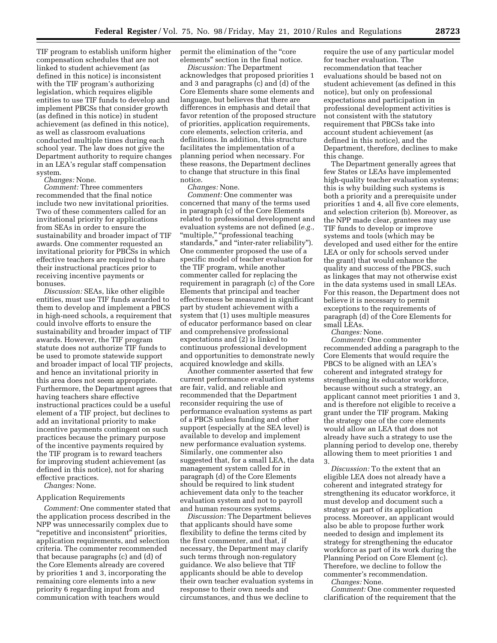TIF program to establish uniform higher compensation schedules that are not linked to student achievement (as defined in this notice) is inconsistent with the TIF program's authorizing legislation, which requires eligible entities to use TIF funds to develop and implement PBCSs that consider growth (as defined in this notice) in student achievement (as defined in this notice), as well as classroom evaluations conducted multiple times during each school year. The law does not give the Department authority to require changes in an LEA's regular staff compensation system.

*Changes:* None.

*Comment:* Three commenters recommended that the final notice include two new invitational priorities. Two of these commenters called for an invitational priority for applications from SEAs in order to ensure the sustainability and broader impact of TIF awards. One commenter requested an invitational priority for PBCSs in which effective teachers are required to share their instructional practices prior to receiving incentive payments or bonuses.

*Discussion:* SEAs, like other eligible entities, must use TIF funds awarded to them to develop and implement a PBCS in high-need schools, a requirement that could involve efforts to ensure the sustainability and broader impact of TIF awards. However, the TIF program statute does not authorize TIF funds to be used to promote statewide support and broader impact of local TIF projects, and hence an invitational priority in this area does not seem appropriate. Furthermore, the Department agrees that having teachers share effective instructional practices could be a useful element of a TIF project, but declines to add an invitational priority to make incentive payments contingent on such practices because the primary purpose of the incentive payments required by the TIF program is to reward teachers for improving student achievement (as defined in this notice), not for sharing effective practices.

*Changes:* None.

#### Application Requirements

*Comment:* One commenter stated that the application process described in the NPP was unnecessarily complex due to ''repetitive and inconsistent'' priorities, application requirements, and selection criteria. The commenter recommended that because paragraphs (c) and (d) of the Core Elements already are covered by priorities 1 and 3, incorporating the remaining core elements into a new priority 6 regarding input from and communication with teachers would

permit the elimination of the "core" elements'' section in the final notice.

*Discussion:* The Department acknowledges that proposed priorities 1 and 3 and paragraphs (c) and (d) of the Core Elements share some elements and language, but believes that there are differences in emphasis and detail that favor retention of the proposed structure of priorities, application requirements, core elements, selection criteria, and definitions. In addition, this structure facilitates the implementation of a planning period when necessary. For these reasons, the Department declines to change that structure in this final notice.

#### *Changes:* None.

*Comment:* One commenter was concerned that many of the terms used in paragraph (c) of the Core Elements related to professional development and evaluation systems are not defined (*e.g.,*  ''multiple,'' ''professional teaching standards,'' and ''inter-rater reliability''). One commenter proposed the use of a specific model of teacher evaluation for the TIF program, while another commenter called for replacing the requirement in paragraph (c) of the Core Elements that principal and teacher effectiveness be measured in significant part by student achievement with a system that (1) uses multiple measures of educator performance based on clear and comprehensive professional expectations and (2) is linked to continuous professional development and opportunities to demonstrate newly acquired knowledge and skills.

Another commenter asserted that few current performance evaluation systems are fair, valid, and reliable and recommended that the Department reconsider requiring the use of performance evaluation systems as part of a PBCS unless funding and other support (especially at the SEA level) is available to develop and implement new performance evaluation systems. Similarly, one commenter also suggested that, for a small LEA, the data management system called for in paragraph (d) of the Core Elements should be required to link student achievement data only to the teacher evaluation system and not to payroll and human resources systems.

*Discussion:* The Department believes that applicants should have some flexibility to define the terms cited by the first commenter, and that, if necessary, the Department may clarify such terms through non-regulatory guidance. We also believe that TIF applicants should be able to develop their own teacher evaluation systems in response to their own needs and circumstances, and thus we decline to

require the use of any particular model for teacher evaluation. The recommendation that teacher evaluations should be based not on student achievement (as defined in this notice), but only on professional expectations and participation in professional development activities is not consistent with the statutory requirement that PBCSs take into account student achievement (as defined in this notice), and the Department, therefore, declines to make this change.

The Department generally agrees that few States or LEAs have implemented high-quality teacher evaluation systems; this is why building such systems is both a priority and a prerequisite under priorities 1 and 4, all five core elements, and selection criterion (b). Moreover, as the NPP made clear, grantees may use TIF funds to develop or improve systems and tools (which may be developed and used either for the entire LEA or only for schools served under the grant) that would enhance the quality and success of the PBCS, such as linkages that may not otherwise exist in the data systems used in small LEAs. For this reason, the Department does not believe it is necessary to permit exceptions to the requirements of paragraph (d) of the Core Elements for small LEAs.

*Changes:* None.

*Comment:* One commenter recommended adding a paragraph to the Core Elements that would require the PBCS to be aligned with an LEA's coherent and integrated strategy for strengthening its educator workforce, because without such a strategy, an applicant cannot meet priorities 1 and 3, and is therefore not eligible to receive a grant under the TIF program. Making the strategy one of the core elements would allow an LEA that does not already have such a strategy to use the planning period to develop one, thereby allowing them to meet priorities 1 and 3.

*Discussion:* To the extent that an eligible LEA does not already have a coherent and integrated strategy for strengthening its educator workforce, it must develop and document such a strategy as part of its application process. Moreover, an applicant would also be able to propose further work needed to design and implement its strategy for strengthening the educator workforce as part of its work during the Planning Period on Core Element (c). Therefore, we decline to follow the commenter's recommendation.

*Changes:* None.

*Comment:* One commenter requested clarification of the requirement that the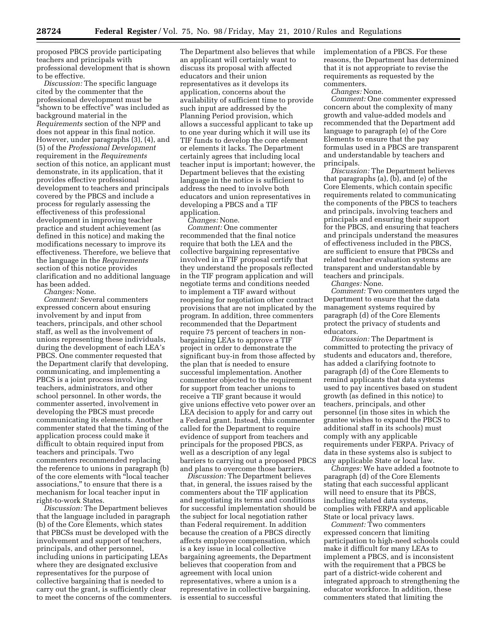proposed PBCS provide participating teachers and principals with professional development that is shown to be effective.

*Discussion:* The specific language cited by the commenter that the professional development must be ''shown to be effective'' was included as background material in the *Requirements* section of the NPP and does not appear in this final notice. However, under paragraphs (3), (4), and (5) of the *Professional Development*  requirement in the *Requirements*  section of this notice, an applicant must demonstrate, in its application, that it provides effective professional development to teachers and principals covered by the PBCS and include a process for regularly assessing the effectiveness of this professional development in improving teacher practice and student achievement (as defined in this notice) and making the modifications necessary to improve its effectiveness. Therefore, we believe that the language in the *Requirements*  section of this notice provides clarification and no additional language has been added.

*Changes:* None.

*Comment:* Several commenters expressed concern about ensuring involvement by and input from teachers, principals, and other school staff, as well as the involvement of unions representing these individuals, during the development of each LEA's PBCS. One commenter requested that the Department clarify that developing, communicating, and implementing a PBCS is a joint process involving teachers, administrators, and other school personnel. In other words, the commenter asserted, involvement in developing the PBCS must precede communicating its elements. Another commenter stated that the timing of the application process could make it difficult to obtain required input from teachers and principals. Two commenters recommended replacing the reference to unions in paragraph (b) of the core elements with ''local teacher associations,'' to ensure that there is a mechanism for local teacher input in right-to-work States.

*Discussion:* The Department believes that the language included in paragraph (b) of the Core Elements, which states that PBCSs must be developed with the involvement and support of teachers, principals, and other personnel, including unions in participating LEAs where they are designated exclusive representatives for the purpose of collective bargaining that is needed to carry out the grant, is sufficiently clear to meet the concerns of the commenters.

The Department also believes that while an applicant will certainly want to discuss its proposal with affected educators and their union representatives as it develops its application, concerns about the availability of sufficient time to provide such input are addressed by the Planning Period provision, which allows a successful applicant to take up to one year during which it will use its TIF funds to develop the core element or elements it lacks. The Department certainly agrees that including local teacher input is important; however, the Department believes that the existing language in the notice is sufficient to address the need to involve both educators and union representatives in developing a PBCS and a TIF application.

*Changes:* None.

*Comment:* One commenter recommended that the final notice require that both the LEA and the collective bargaining representative involved in a TIF proposal certify that they understand the proposals reflected in the TIF program application and will negotiate terms and conditions needed to implement a TIF award without reopening for negotiation other contract provisions that are not implicated by the program. In addition, three commenters recommended that the Department require 75 percent of teachers in nonbargaining LEAs to approve a TIF project in order to demonstrate the significant buy-in from those affected by the plan that is needed to ensure successful implementation. Another commenter objected to the requirement for support from teacher unions to receive a TIF grant because it would give unions effective veto power over an LEA decision to apply for and carry out a Federal grant. Instead, this commenter called for the Department to require evidence of support from teachers and principals for the proposed PBCS, as well as a description of any legal barriers to carrying out a proposed PBCS and plans to overcome those barriers.

*Discussion:* The Department believes that, in general, the issues raised by the commenters about the TIF application and negotiating its terms and conditions for successful implementation should be the subject for local negotiation rather than Federal requirement. In addition because the creation of a PBCS directly affects employee compensation, which is a key issue in local collective bargaining agreements, the Department believes that cooperation from and agreement with local union representatives, where a union is a representative in collective bargaining, is essential to successful

implementation of a PBCS. For these reasons, the Department has determined that it is not appropriate to revise the requirements as requested by the commenters.

*Changes:* None.

*Comment:* One commenter expressed concern about the complexity of many growth and value-added models and recommended that the Department add language to paragraph (e) of the Core Elements to ensure that the pay formulas used in a PBCS are transparent and understandable by teachers and principals.

*Discussion:* The Department believes that paragraphs (a), (b), and (e) of the Core Elements, which contain specific requirements related to communicating the components of the PBCS to teachers and principals, involving teachers and principals and ensuring their support for the PBCS, and ensuring that teachers and principals understand the measures of effectiveness included in the PBCS, are sufficient to ensure that PBCSs and related teacher evaluation systems are transparent and understandable by teachers and principals.

*Changes:* None.

*Comment:* Two commenters urged the Department to ensure that the data management systems required by paragraph (d) of the Core Elements protect the privacy of students and educators.

*Discussion:* The Department is committed to protecting the privacy of students and educators and, therefore, has added a clarifying footnote to paragraph (d) of the Core Elements to remind applicants that data systems used to pay incentives based on student growth (as defined in this notice) to teachers, principals, and other personnel (in those sites in which the grantee wishes to expand the PBCS to additional staff in its schools) must comply with any applicable requirements under FERPA. Privacy of data in these systems also is subject to any applicable State or local law.

*Changes:* We have added a footnote to paragraph (d) of the Core Elements stating that each successful applicant will need to ensure that its PBCS, including related data systems, complies with FERPA and applicable State or local privacy laws.

*Comment:* Two commenters expressed concern that limiting participation to high-need schools could make it difficult for many LEAs to implement a PBCS, and is inconsistent with the requirement that a PBCS be part of a district-wide coherent and integrated approach to strengthening the educator workforce. In addition, these commenters stated that limiting the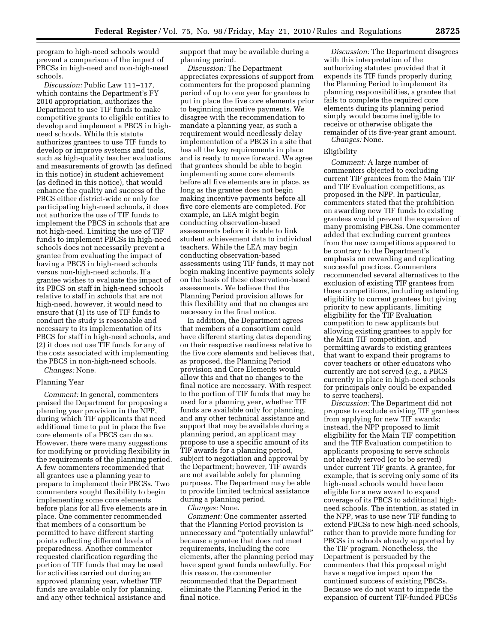program to high-need schools would prevent a comparison of the impact of PBCSs in high-need and non-high-need schools.

*Discussion:* Public Law 111–117, which contains the Department's FY 2010 appropriation, authorizes the Department to use TIF funds to make competitive grants to eligible entities to develop and implement a PBCS in highneed schools. While this statute authorizes grantees to use TIF funds to develop or improve systems and tools, such as high-quality teacher evaluations and measurements of growth (as defined in this notice) in student achievement (as defined in this notice), that would enhance the quality and success of the PBCS either district-wide or only for participating high-need schools, it does not authorize the use of TIF funds to implement the PBCS in schools that are not high-need. Limiting the use of TIF funds to implement PBCSs in high-need schools does not necessarily prevent a grantee from evaluating the impact of having a PBCS in high-need schools versus non-high-need schools. If a grantee wishes to evaluate the impact of its PBCS on staff in high-need schools relative to staff in schools that are not high-need, however, it would need to ensure that (1) its use of TIF funds to conduct the study is reasonable and necessary to its implementation of its PBCS for staff in high-need schools, and (2) it does not use TIF funds for any of the costs associated with implementing the PBCS in non-high-need schools.

#### *Changes:* None.

#### Planning Year

*Comment:* In general, commenters praised the Department for proposing a planning year provision in the NPP, during which TIF applicants that need additional time to put in place the five core elements of a PBCS can do so. However, there were many suggestions for modifying or providing flexibility in the requirements of the planning period. A few commenters recommended that all grantees use a planning year to prepare to implement their PBCSs. Two commenters sought flexibility to begin implementing some core elements before plans for all five elements are in place. One commenter recommended that members of a consortium be permitted to have different starting points reflecting different levels of preparedness. Another commenter requested clarification regarding the portion of TIF funds that may be used for activities carried out during an approved planning year, whether TIF funds are available only for planning, and any other technical assistance and

support that may be available during a planning period.

*Discussion:* The Department appreciates expressions of support from commenters for the proposed planning period of up to one year for grantees to put in place the five core elements prior to beginning incentive payments. We disagree with the recommendation to mandate a planning year, as such a requirement would needlessly delay implementation of a PBCS in a site that has all the key requirements in place and is ready to move forward. We agree that grantees should be able to begin implementing some core elements before all five elements are in place, as long as the grantee does not begin making incentive payments before all five core elements are completed. For example, an LEA might begin conducting observation-based assessments before it is able to link student achievement data to individual teachers. While the LEA may begin conducting observation-based assessments using TIF funds, it may not begin making incentive payments solely on the basis of these observation-based assessments. We believe that the Planning Period provision allows for this flexibility and that no changes are necessary in the final notice.

In addition, the Department agrees that members of a consortium could have different starting dates depending on their respective readiness relative to the five core elements and believes that, as proposed, the Planning Period provision and Core Elements would allow this and that no changes to the final notice are necessary. With respect to the portion of TIF funds that may be used for a planning year, whether TIF funds are available only for planning, and any other technical assistance and support that may be available during a planning period, an applicant may propose to use a specific amount of its TIF awards for a planning period, subject to negotiation and approval by the Department; however, TIF awards are not available solely for planning purposes. The Department may be able to provide limited technical assistance during a planning period.

*Changes:* None.

*Comment:* One commenter asserted that the Planning Period provision is unnecessary and ''potentially unlawful'' because a grantee that does not meet requirements, including the core elements, after the planning period may have spent grant funds unlawfully. For this reason, the commenter recommended that the Department eliminate the Planning Period in the final notice.

*Discussion:* The Department disagrees with this interpretation of the authorizing statutes; provided that it expends its TIF funds properly during the Planning Period to implement its planning responsibilities, a grantee that fails to complete the required core elements during its planning period simply would become ineligible to receive or otherwise obligate the remainder of its five-year grant amount.

*Changes:* None.

#### Eligibility

*Comment:* A large number of commenters objected to excluding current TIF grantees from the Main TIF and TIF Evaluation competitions, as proposed in the NPP. In particular, commenters stated that the prohibition on awarding new TIF funds to existing grantees would prevent the expansion of many promising PBCSs. One commenter added that excluding current grantees from the new competitions appeared to be contrary to the Department's emphasis on rewarding and replicating successful practices. Commenters recommended several alternatives to the exclusion of existing TIF grantees from these competitions, including extending eligibility to current grantees but giving priority to new applicants, limiting eligibility for the TIF Evaluation competition to new applicants but allowing existing grantees to apply for the Main TIF competition, and permitting awards to existing grantees that want to expand their programs to cover teachers or other educators who currently are not served (*e.g.,* a PBCS currently in place in high-need schools for principals only could be expanded to serve teachers).

*Discussion:* The Department did not propose to exclude existing TIF grantees from applying for new TIF awards; instead, the NPP proposed to limit eligibility for the Main TIF competition and the TIF Evaluation competition to applicants proposing to serve schools not already served (or to be served) under current TIF grants. A grantee, for example, that is serving only some of its high-need schools would have been eligible for a new award to expand coverage of its PBCS to additional highneed schools. The intention, as stated in the NPP, was to use new TIF funding to extend PBCSs to new high-need schools, rather than to provide more funding for PBCSs in schools already supported by the TIF program. Nonetheless, the Department is persuaded by the commenters that this proposal might have a negative impact upon the continued success of existing PBCSs. Because we do not want to impede the expansion of current TIF-funded PBCSs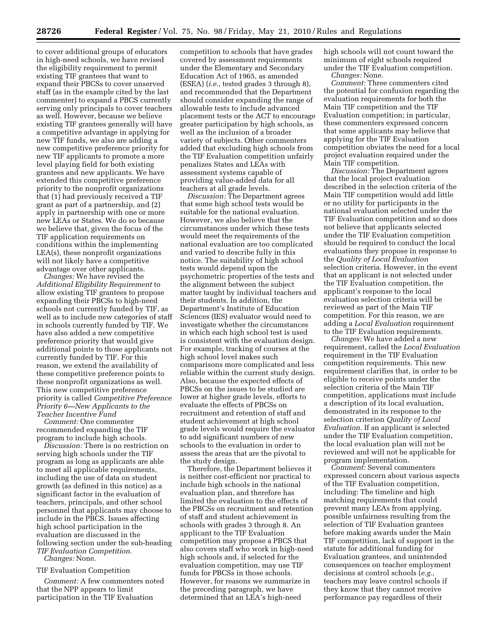to cover additional groups of educators in high-need schools, we have revised the eligibility requirement to permit existing TIF grantees that want to expand their PBCSs to cover unserved staff (as in the example cited by the last commenter) to expand a PBCS currently serving only principals to cover teachers as well. However, because we believe existing TIF grantees generally will have a competitive advantage in applying for new TIF funds, we also are adding a new competitive preference priority for new TIF applicants to promote a more level playing field for both existing grantees and new applicants. We have extended this competitive preference

priority to the nonprofit organizations that (1) had previously received a TIF grant as part of a partnership, and (2) apply in partnership with one or more new LEAs or States. We do so because we believe that, given the focus of the TIF application requirements on conditions within the implementing LEA(s), these nonprofit organizations will not likely have a competitive advantage over other applicants.

*Changes:* We have revised the *Additional Eligibility Requirement* to allow existing TIF grantees to propose expanding their PBCSs to high-need schools not currently funded by TIF, as well as to include new categories of staff in schools currently funded by TIF. We have also added a new competitive preference priority that would give additional points to those applicants not currently funded by TIF. For this reason, we extend the availability of these competitive preference points to these nonprofit organizations as well. This new competitive preference priority is called *Competitive Preference Priority 6—New Applicants to the Teacher Incentive Fund* 

*Comment:* One commenter recommended expanding the TIF program to include high schools.

*Discussion:* There is no restriction on serving high schools under the TIF program as long as applicants are able to meet all applicable requirements, including the use of data on student growth (as defined in this notice) as a significant factor in the evaluation of teachers, principals, and other school personnel that applicants may choose to include in the PBCS. Issues affecting high school participation in the evaluation are discussed in the following section under the sub-heading *TIF Evaluation Competition.* 

*Changes:* None.

#### TIF Evaluation Competition

*Comment:* A few commenters noted that the NPP appears to limit participation in the TIF Evaluation

competition to schools that have grades covered by assessment requirements under the Elementary and Secondary Education Act of 1965, as amended (ESEA) (*i.e.,* tested grades 3 through 8), and recommended that the Department should consider expanding the range of allowable tests to include advanced placement tests or the ACT to encourage greater participation by high schools, as well as the inclusion of a broader variety of subjects. Other commenters added that excluding high schools from the TIF Evaluation competition unfairly penalizes States and LEAs with assessment systems capable of providing value-added data for all teachers at all grade levels.

*Discussion:* The Department agrees that some high school tests would be suitable for the national evaluation. However, we also believe that the circumstances under which these tests would meet the requirements of the national evaluation are too complicated and varied to describe fully in this notice. The suitability of high school tests would depend upon the psychometric properties of the tests and the alignment between the subject matter taught by individual teachers and their students. In addition, the Department's Institute of Education Sciences (IES) evaluator would need to investigate whether the circumstances in which each high school test is used is consistent with the evaluation design. For example, tracking of courses at the high school level makes such comparisons more complicated and less reliable within the current study design. Also, because the expected effects of PBCSs on the issues to be studied are lower at higher grade levels, efforts to evaluate the effects of PBCSs on recruitment and retention of staff and student achievement at high school grade levels would require the evaluator to add significant numbers of new schools to the evaluation in order to assess the areas that are the pivotal to the study design.

Therefore, the Department believes it is neither cost-efficient nor practical to include high schools in the national evaluation plan, and therefore has limited the evaluation to the effects of the PBCSs on recruitment and retention of staff and student achievement in schools with grades 3 through 8. An applicant to the TIF Evaluation competition may propose a PBCS that also covers staff who work in high-need high schools and, if selected for the evaluation competition, may use TIF funds for PBCSs in those schools. However, for reasons we summarize in the preceding paragraph, we have determined that an LEA's high-need

high schools will not count toward the minimum of eight schools required under the TIF Evaluation competition. *Changes:* None.

*Comment:* Three commenters cited the potential for confusion regarding the evaluation requirements for both the Main TIF competition and the TIF Evaluation competition; in particular, these commenters expressed concern that some applicants may believe that applying for the TIF Evaluation competition obviates the need for a local project evaluation required under the Main TIF competition.

*Discussion:* The Department agrees that the local project evaluation described in the selection criteria of the Main TIF competition would add little or no utility for participants in the national evaluation selected under the TIF Evaluation competition and so does not believe that applicants selected under the TIF Evaluation competition should be required to conduct the local evaluations they propose in response to the *Quality of Local Evaluation*  selection criteria. However, in the event that an applicant is not selected under the TIF Evaluation competition, the applicant's response to the local evaluation selection criteria will be reviewed as part of the Main TIF competition. For this reason, we are adding a *Local Evaluation* requirement to the TIF Evaluation requirements.

*Changes:* We have added a new requirement, called the *Local Evaluation*  requirement in the TIF Evaluation competition requirements. This new requirement clarifies that, in order to be eligible to receive points under the selection criteria of the Main TIF competition, applications must include a description of its local evaluation, demonstrated in its response to the selection criterion *Quality of Local Evaluation.* If an applicant is selected under the TIF Evaluation competition, the local evaluation plan will not be reviewed and will not be applicable for program implementation.

*Comment:* Several commenters expressed concern about various aspects of the TIF Evaluation competition, including: The timeline and high matching requirements that could prevent many LEAs from applying, possible unfairness resulting from the selection of TIF Evaluation grantees before making awards under the Main TIF competition, lack of support in the statute for additional funding for Evaluation grantees, and unintended consequences on teacher employment decisions at control schools (*e.g.,*  teachers may leave control schools if they know that they cannot receive performance pay regardless of their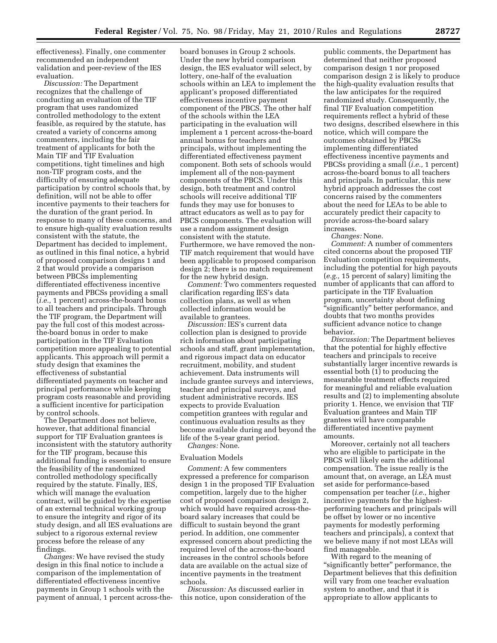effectiveness). Finally, one commenter recommended an independent validation and peer-review of the IES evaluation.

*Discussion:* The Department recognizes that the challenge of conducting an evaluation of the TIF program that uses randomized controlled methodology to the extent feasible, as required by the statute, has created a variety of concerns among commenters, including the fair treatment of applicants for both the Main TIF and TIF Evaluation competitions, tight timelines and high non-TIF program costs, and the difficulty of ensuring adequate participation by control schools that, by definition, will not be able to offer incentive payments to their teachers for the duration of the grant period. In response to many of these concerns, and to ensure high-quality evaluation results consistent with the statute, the Department has decided to implement, as outlined in this final notice, a hybrid of proposed comparison designs 1 and 2 that would provide a comparison between PBCSs implementing differentiated effectiveness incentive payments and PBCSs providing a small (*i.e.,* 1 percent) across-the-board bonus to all teachers and principals. Through the TIF program, the Department will pay the full cost of this modest acrossthe-board bonus in order to make participation in the TIF Evaluation competition more appealing to potential applicants. This approach will permit a study design that examines the effectiveness of substantial differentiated payments on teacher and principal performance while keeping program costs reasonable and providing a sufficient incentive for participation by control schools.

The Department does not believe, however, that additional financial support for TIF Evaluation grantees is inconsistent with the statutory authority for the TIF program, because this additional funding is essential to ensure the feasibility of the randomized controlled methodology specifically required by the statute. Finally, IES, which will manage the evaluation contract, will be guided by the expertise of an external technical working group to ensure the integrity and rigor of its study design, and all IES evaluations are subject to a rigorous external review process before the release of any findings.

*Changes:* We have revised the study design in this final notice to include a comparison of the implementation of differentiated effectiveness incentive payments in Group 1 schools with the payment of annual, 1 percent across-the-

board bonuses in Group 2 schools. Under the new hybrid comparison design, the IES evaluator will select, by lottery, one-half of the evaluation schools within an LEA to implement the applicant's proposed differentiated effectiveness incentive payment component of the PBCS. The other half of the schools within the LEA participating in the evaluation will implement a 1 percent across-the-board annual bonus for teachers and principals, without implementing the differentiated effectiveness payment component. Both sets of schools would implement all of the non-payment components of the PBCS. Under this design, both treatment and control schools will receive additional TIF funds they may use for bonuses to attract educators as well as to pay for PBCS components. The evaluation will use a random assignment design consistent with the statute. Furthermore, we have removed the non-TIF match requirement that would have been applicable to proposed comparison design 2; there is no match requirement for the new hybrid design.

*Comment:* Two commenters requested clarification regarding IES's data collection plans, as well as when collected information would be available to grantees.

*Discussion:* IES's current data collection plan is designed to provide rich information about participating schools and staff, grant implementation, and rigorous impact data on educator recruitment, mobility, and student achievement. Data instruments will include grantee surveys and interviews, teacher and principal surveys, and student administrative records. IES expects to provide Evaluation competition grantees with regular and continuous evaluation results as they become available during and beyond the life of the 5-year grant period.

*Changes:* None.

#### Evaluation Models

*Comment:* A few commenters expressed a preference for comparison design 1 in the proposed TIF Evaluation competition, largely due to the higher cost of proposed comparison design 2, which would have required across-theboard salary increases that could be difficult to sustain beyond the grant period. In addition, one commenter expressed concern about predicting the required level of the across-the-board increases in the control schools before data are available on the actual size of incentive payments in the treatment schools.

*Discussion:* As discussed earlier in this notice, upon consideration of the

public comments, the Department has determined that neither proposed comparison design 1 nor proposed comparison design 2 is likely to produce the high-quality evaluation results that the law anticipates for the required randomized study. Consequently, the final TIF Evaluation competition requirements reflect a hybrid of these two designs, described elsewhere in this notice, which will compare the outcomes obtained by PBCSs implementing differentiated effectiveness incentive payments and PBCSs providing a small (*i.e.,* 1 percent) across-the-board bonus to all teachers and principals. In particular, this new hybrid approach addresses the cost concerns raised by the commenters about the need for LEAs to be able to accurately predict their capacity to provide across-the-board salary increases.

*Changes:* None.

*Comment:* A number of commenters cited concerns about the proposed TIF Evaluation competition requirements, including the potential for high payouts (*e.g.,* 15 percent of salary) limiting the number of applicants that can afford to participate in the TIF Evaluation program, uncertainty about defining ''significantly'' better performance, and doubts that two months provides sufficient advance notice to change behavior.

*Discussion:* The Department believes that the potential for highly effective teachers and principals to receive substantially larger incentive rewards is essential both (1) to producing the measurable treatment effects required for meaningful and reliable evaluation results and (2) to implementing absolute priority 1. Hence, we envision that TIF Evaluation grantees and Main TIF grantees will have comparable differentiated incentive payment amounts.

Moreover, certainly not all teachers who are eligible to participate in the PBCS will likely earn the additional compensation. The issue really is the amount that, on average, an LEA must set aside for performance-based compensation per teacher (*i.e.,* higher incentive payments for the highestperforming teachers and principals will be offset by lower or no incentive payments for modestly performing teachers and principals), a context that we believe many if not most LEAs will find manageable.

With regard to the meaning of ''significantly better'' performance, the Department believes that this definition will vary from one teacher evaluation system to another, and that it is appropriate to allow applicants to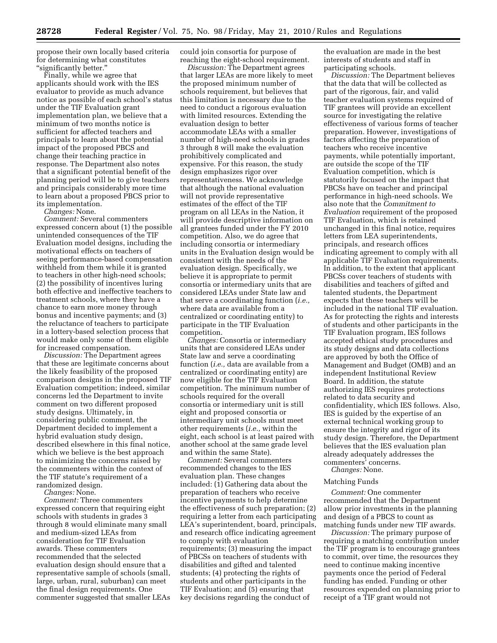propose their own locally based criteria for determining what constitutes ''significantly better.''

Finally, while we agree that applicants should work with the IES evaluator to provide as much advance notice as possible of each school's status under the TIF Evaluation grant implementation plan, we believe that a minimum of two months notice is sufficient for affected teachers and principals to learn about the potential impact of the proposed PBCS and change their teaching practice in response. The Department also notes that a significant potential benefit of the planning period will be to give teachers and principals considerably more time to learn about a proposed PBCS prior to its implementation.

*Changes:* None.

*Comment:* Several commenters expressed concern about (1) the possible unintended consequences of the TIF Evaluation model designs, including the motivational effects on teachers of seeing performance-based compensation withheld from them while it is granted to teachers in other high-need schools; (2) the possibility of incentives luring both effective and ineffective teachers to treatment schools, where they have a chance to earn more money through bonus and incentive payments; and (3) the reluctance of teachers to participate in a lottery-based selection process that would make only some of them eligible for increased compensation.

*Discussion:* The Department agrees that these are legitimate concerns about the likely feasibility of the proposed comparison designs in the proposed TIF Evaluation competition; indeed, similar concerns led the Department to invite comment on two different proposed study designs. Ultimately, in considering public comment, the Department decided to implement a hybrid evaluation study design, described elsewhere in this final notice, which we believe is the best approach to minimizing the concerns raised by the commenters within the context of the TIF statute's requirement of a randomized design.

*Changes:* None.

*Comment:* Three commenters expressed concern that requiring eight schools with students in grades 3 through 8 would eliminate many small and medium-sized LEAs from consideration for TIF Evaluation awards. These commenters recommended that the selected evaluation design should ensure that a representative sample of schools (small, large, urban, rural, suburban) can meet the final design requirements. One commenter suggested that smaller LEAs could join consortia for purpose of reaching the eight-school requirement.

*Discussion:* The Department agrees that larger LEAs are more likely to meet the proposed minimum number of schools requirement, but believes that this limitation is necessary due to the need to conduct a rigorous evaluation with limited resources. Extending the evaluation design to better accommodate LEAs with a smaller number of high-need schools in grades 3 through 8 will make the evaluation prohibitively complicated and expensive. For this reason, the study design emphasizes rigor over representativeness. We acknowledge that although the national evaluation will not provide representative estimates of the effect of the TIF program on all LEAs in the Nation, it will provide descriptive information on all grantees funded under the FY 2010 competition. Also, we do agree that including consortia or intermediary units in the Evaluation design would be consistent with the needs of the evaluation design. Specifically, we believe it is appropriate to permit consortia or intermediary units that are considered LEAs under State law and that serve a coordinating function (*i.e.,*  where data are available from a centralized or coordinating entity) to participate in the TIF Evaluation competition.

*Changes:* Consortia or intermediary units that are considered LEAs under State law and serve a coordinating function (*i.e.,* data are available from a centralized or coordinating entity) are now eligible for the TIF Evaluation competition. The minimum number of schools required for the overall consortia or intermediary unit is still eight and proposed consortia or intermediary unit schools must meet other requirements (*i.e.,* within the eight, each school is at least paired with another school at the same grade level and within the same State).

*Comment:* Several commenters recommended changes to the IES evaluation plan. These changes included: (1) Gathering data about the preparation of teachers who receive incentive payments to help determine the effectiveness of such preparation; (2) requiring a letter from each participating LEA's superintendent, board, principals, and research office indicating agreement to comply with evaluation requirements; (3) measuring the impact of PBCSs on teachers of students with disabilities and gifted and talented students; (4) protecting the rights of students and other participants in the TIF Evaluation; and (5) ensuring that key decisions regarding the conduct of

the evaluation are made in the best interests of students and staff in participating schools.

*Discussion:* The Department believes that the data that will be collected as part of the rigorous, fair, and valid teacher evaluation systems required of TIF grantees will provide an excellent source for investigating the relative effectiveness of various forms of teacher preparation. However, investigations of factors affecting the preparation of teachers who receive incentive payments, while potentially important, are outside the scope of the TIF Evaluation competition, which is statutorily focused on the impact that PBCSs have on teacher and principal performance in high-need schools. We also note that the *Commitment to Evaluation* requirement of the proposed TIF Evaluation, which is retained unchanged in this final notice, requires letters from LEA superintendents, principals, and research offices indicating agreement to comply with all applicable TIF Evaluation requirements. In addition, to the extent that applicant PBCSs cover teachers of students with disabilities and teachers of gifted and talented students, the Department expects that these teachers will be included in the national TIF evaluation. As for protecting the rights and interests of students and other participants in the TIF Evaluation program, IES follows accepted ethical study procedures and its study designs and data collections are approved by both the Office of Management and Budget (OMB) and an independent Institutional Review Board. In addition, the statute authorizing IES requires protections related to data security and confidentiality, which IES follows. Also, IES is guided by the expertise of an external technical working group to ensure the integrity and rigor of its study design. Therefore, the Department believes that the IES evaluation plan already adequately addresses the commenters' concerns. *Changes:* None.

### Matching Funds

*Comment:* One commenter recommended that the Department allow prior investments in the planning and design of a PBCS to count as matching funds under new TIF awards.

*Discussion:* The primary purpose of requiring a matching contribution under the TIF program is to encourage grantees to commit, over time, the resources they need to continue making incentive payments once the period of Federal funding has ended. Funding or other resources expended on planning prior to receipt of a TIF grant would not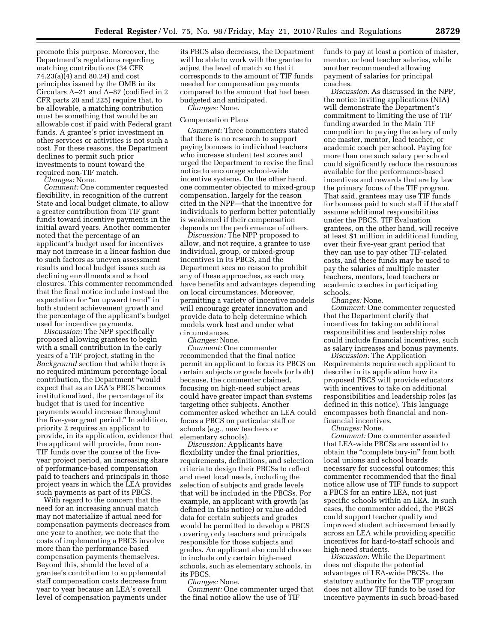promote this purpose. Moreover, the Department's regulations regarding matching contributions (34 CFR 74.23(a)(4) and 80.24) and cost principles issued by the OMB in its Circulars A–21 and A–87 (codified in 2 CFR parts 20 and 225) require that, to be allowable, a matching contribution must be something that would be an allowable cost if paid with Federal grant funds. A grantee's prior investment in other services or activities is not such a cost. For these reasons, the Department declines to permit such prior investments to count toward the required non-TIF match.

*Changes:* None.

*Comment:* One commenter requested flexibility, in recognition of the current State and local budget climate, to allow a greater contribution from TIF grant funds toward incentive payments in the initial award years. Another commenter noted that the percentage of an applicant's budget used for incentives may not increase in a linear fashion due to such factors as uneven assessment results and local budget issues such as declining enrollments and school closures. This commenter recommended that the final notice include instead the expectation for "an upward trend" in both student achievement growth and the percentage of the applicant's budget used for incentive payments.

*Discussion:* The NPP specifically proposed allowing grantees to begin with a small contribution in the early years of a TIF project, stating in the *Background* section that while there is no required minimum percentage local contribution, the Department ''would expect that as an LEA's PBCS becomes institutionalized, the percentage of its budget that is used for incentive payments would increase throughout the five-year grant period.'' In addition, priority 2 requires an applicant to provide, in its application, evidence that the applicant will provide, from non-TIF funds over the course of the fiveyear project period, an increasing share of performance-based compensation paid to teachers and principals in those project years in which the LEA provides such payments as part of its PBCS.

With regard to the concern that the need for an increasing annual match may not materialize if actual need for compensation payments decreases from one year to another, we note that the costs of implementing a PBCS involve more than the performance-based compensation payments themselves. Beyond this, should the level of a grantee's contribution to supplemental staff compensation costs decrease from year to year because an LEA's overall level of compensation payments under

its PBCS also decreases, the Department will be able to work with the grantee to adjust the level of match so that it corresponds to the amount of TIF funds needed for compensation payments compared to the amount that had been budgeted and anticipated. *Changes:* None.

#### Compensation Plans

*Comment:* Three commenters stated that there is no research to support paying bonuses to individual teachers who increase student test scores and urged the Department to revise the final notice to encourage school-wide incentive systems. On the other hand, one commenter objected to mixed-group compensation, largely for the reason cited in the NPP—that the incentive for individuals to perform better potentially is weakened if their compensation depends on the performance of others.

*Discussion:* The NPP proposed to allow, and not require, a grantee to use individual, group, or mixed-group incentives in its PBCS, and the Department sees no reason to prohibit any of these approaches, as each may have benefits and advantages depending on local circumstances. Moreover, permitting a variety of incentive models will encourage greater innovation and provide data to help determine which models work best and under what circumstances.

*Changes:* None.

*Comment:* One commenter recommended that the final notice permit an applicant to focus its PBCS on certain subjects or grade levels (or both) because, the commenter claimed, focusing on high-need subject areas could have greater impact than systems targeting other subjects. Another commenter asked whether an LEA could focus a PBCS on particular staff or schools (*e.g.,* new teachers or elementary schools).

*Discussion:* Applicants have flexibility under the final priorities, requirements, definitions, and selection criteria to design their PBCSs to reflect and meet local needs, including the selection of subjects and grade levels that will be included in the PBCSs. For example, an applicant with growth (as defined in this notice) or value-added data for certain subjects and grades would be permitted to develop a PBCS covering only teachers and principals responsible for those subjects and grades. An applicant also could choose to include only certain high-need schools, such as elementary schools, in its PBCS.

*Changes:* None.

*Comment:* One commenter urged that the final notice allow the use of TIF

funds to pay at least a portion of master, mentor, or lead teacher salaries, while another recommended allowing payment of salaries for principal coaches.

*Discussion:* As discussed in the NPP, the notice inviting applications (NIA) will demonstrate the Department's commitment to limiting the use of TIF funding awarded in the Main TIF competition to paying the salary of only one master, mentor, lead teacher, or academic coach per school. Paying for more than one such salary per school could significantly reduce the resources available for the performance-based incentives and rewards that are by law the primary focus of the TIF program. That said, grantees may use TIF funds for bonuses paid to such staff if the staff assume additional responsibilities under the PBCS. TIF Evaluation grantees, on the other hand, will receive at least \$1 million in additional funding over their five-year grant period that they can use to pay other TIF-related costs, and these funds may be used to pay the salaries of multiple master teachers, mentors, lead teachers or academic coaches in participating schools.

*Changes:* None.

*Comment:* One commenter requested that the Department clarify that incentives for taking on additional responsibilities and leadership roles could include financial incentives, such as salary increases and bonus payments.

*Discussion:* The Application Requirements require each applicant to describe in its application how its proposed PBCS will provide educators with incentives to take on additional responsibilities and leadership roles (as defined in this notice). This language encompasses both financial and nonfinancial incentives.

*Changes:* None.

*Comment:* One commenter asserted that LEA-wide PBCSs are essential to obtain the "complete buy-in" from both local unions and school boards necessary for successful outcomes; this commenter recommended that the final notice allow use of TIF funds to support a PBCS for an entire LEA, not just specific schools within an LEA. In such cases, the commenter added, the PBCS could support teacher quality and improved student achievement broadly across an LEA while providing specific incentives for hard-to-staff schools and high-need students.

*Discussion:* While the Department does not dispute the potential advantages of LEA-wide PBCSs, the statutory authority for the TIF program does not allow TIF funds to be used for incentive payments in such broad-based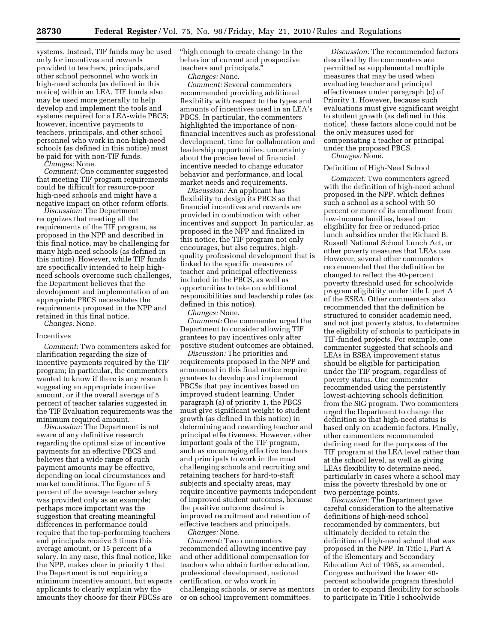provided to teachers, principals, and other school personnel who work in high-need schools (as defined in this notice) within an LEA. TIF funds also may be used more generally to help develop and implement the tools and systems required for a LEA-wide PBCS; however, incentive payments to teachers, principals, and other school personnel who work in non-high-need schools (as defined in this notice) must be paid for with non-TIF funds.

*Changes:* None.

*Comment:* One commenter suggested that meeting TIF program requirements could be difficult for resource-poor high-need schools and might have a negative impact on other reform efforts.

*Discussion:* The Department recognizes that meeting all the requirements of the TIF program, as proposed in the NPP and described in this final notice, may be challenging for many high-need schools (as defined in this notice). However, while TIF funds are specifically intended to help highneed schools overcome such challenges, the Department believes that the development and implementation of an appropriate PBCS necessitates the requirements proposed in the NPP and retained in this final notice.

*Changes:* None.

#### Incentives

*Comment:* Two commenters asked for clarification regarding the size of incentive payments required by the TIF program; in particular, the commenters wanted to know if there is any research suggesting an appropriate incentive amount, or if the overall average of 5 percent of teacher salaries suggested in the TIF Evaluation requirements was the minimum required amount.

*Discussion:* The Department is not aware of any definitive research regarding the optimal size of incentive payments for an effective PBCS and believes that a wide range of such payment amounts may be effective, depending on local circumstances and market conditions. The figure of 5 percent of the average teacher salary was provided only as an example; perhaps more important was the suggestion that creating meaningful differences in performance could require that the top-performing teachers and principals receive 3 times this average amount, or 15 percent of a salary. In any case, this final notice, like the NPP, makes clear in priority 1 that the Department is not requiring a minimum incentive amount, but expects applicants to clearly explain why the amounts they choose for their PBCSs are ''high enough to create change in the behavior of current and prospective teachers and principals.

*Changes:* None.

*Comment:* Several commenters recommended providing additional flexibility with respect to the types and amounts of incentives used in an LEA's PBCS. In particular, the commenters highlighted the importance of nonfinancial incentives such as professional development, time for collaboration and leadership opportunities, uncertainty about the precise level of financial incentive needed to change educator behavior and performance, and local market needs and requirements.

*Discussion:* An applicant has flexibility to design its PBCS so that financial incentives and rewards are provided in combination with other incentives and support. In particular, as proposed in the NPP and finalized in this notice, the TIF program not only encourages, but also requires, highquality professional development that is linked to the specific measures of teacher and principal effectiveness included in the PBCS, as well as opportunities to take on additional responsibilities and leadership roles (as defined in this notice).

*Changes:* None.

*Comment:* One commenter urged the Department to consider allowing TIF grantees to pay incentives only after positive student outcomes are obtained.

*Discussion:* The priorities and requirements proposed in the NPP and announced in this final notice require grantees to develop and implement PBCSs that pay incentives based on improved student learning. Under paragraph (a) of priority 1, the PBCS must give significant weight to student growth (as defined in this notice) in determining and rewarding teacher and principal effectiveness. However, other important goals of the TIF program, such as encouraging effective teachers and principals to work in the most challenging schools and recruiting and retaining teachers for hard-to-staff subjects and specialty areas, may require incentive payments independent of improved student outcomes, because the positive outcome desired is improved recruitment and retention of effective teachers and principals.

*Changes:* None.

*Comment:* Two commenters recommended allowing incentive pay and other additional compensation for teachers who obtain further education, professional development, national certification, or who work in challenging schools, or serve as mentors or on school improvement committees.

*Discussion:* The recommended factors described by the commenters are permitted as supplemental multiple measures that may be used when evaluating teacher and principal effectiveness under paragraph (c) of Priority 1. However, because such evaluations must give significant weight to student growth (as defined in this notice), these factors alone could not be the only measures used for compensating a teacher or principal under the proposed PBCS.

*Changes:* None.

#### Definition of High-Need School

*Comment:* Two commenters agreed with the definition of high-need school proposed in the NPP, which defines such a school as a school with 50 percent or more of its enrollment from low-income families, based on eligibility for free or reduced-price lunch subsidies under the Richard B. Russell National School Lunch Act, or other poverty measures that LEAs use. However, several other commenters recommended that the definition be changed to reflect the 40-percent poverty threshold used for schoolwide program eligibility under title I, part A of the ESEA. Other commenters also recommended that the definition be structured to consider academic need, and not just poverty status, to determine the eligibility of schools to participate in TIF-funded projects. For example, one commenter suggested that schools and LEAs in ESEA improvement status should be eligible for participation under the TIF program, regardless of poverty status. One commenter recommended using the persistently lowest-achieving schools definition from the SIG program. Two commenters urged the Department to change the definition so that high-need status is based only on academic factors. Finally, other commenters recommended defining need for the purposes of the TIF program at the LEA level rather than at the school level, as well as giving LEAs flexibility to determine need, particularly in cases where a school may miss the poverty threshold by one or two percentage points.

*Discussion:* The Department gave careful consideration to the alternative definitions of high-need school recommended by commenters, but ultimately decided to retain the definition of high-need school that was proposed in the NPP. In Title I, Part A of the Elementary and Secondary Education Act of 1965, as amended, Congress authorized the lower 40 percent schoolwide program threshold in order to expand flexibility for schools to participate in Title I schoolwide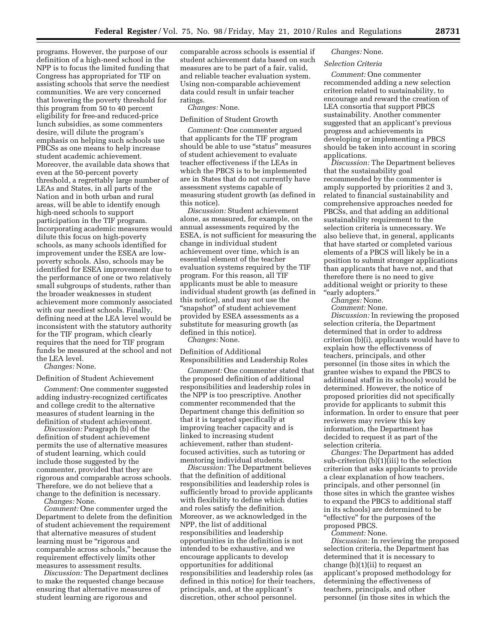programs. However, the purpose of our definition of a high-need school in the NPP is to focus the limited funding that Congress has appropriated for TIF on assisting schools that serve the neediest communities. We are very concerned that lowering the poverty threshold for this program from 50 to 40 percent eligibility for free-and reduced-price lunch subsidies, as some commenters desire, will dilute the program's emphasis on helping such schools use PBCSs as one means to help increase student academic achievement. Moreover, the available data shows that even at the 50-percent poverty threshold, a regrettably large number of LEAs and States, in all parts of the Nation and in both urban and rural areas, will be able to identify enough high-need schools to support participation in the TIF program. Incorporating academic measures would dilute this focus on high-poverty schools, as many schools identified for improvement under the ESEA are lowpoverty schools. Also, schools may be identified for ESEA improvement due to the performance of one or two relatively small subgroups of students, rather than the broader weaknesses in student achievement more commonly associated with our neediest schools. Finally, defining need at the LEA level would be inconsistent with the statutory authority for the TIF program, which clearly requires that the need for TIF program funds be measured at the school and not the LEA level.

*Changes:* None.

#### Definition of Student Achievement

*Comment:* One commenter suggested adding industry-recognized certificates and college credit to the alternative measures of student learning in the definition of student achievement.

*Discussion:* Paragraph (b) of the definition of student achievement permits the use of alternative measures of student learning, which could include those suggested by the commenter, provided that they are rigorous and comparable across schools. Therefore, we do not believe that a change to the definition is necessary.

*Changes:* None.

*Comment:* One commenter urged the Department to delete from the definition of student achievement the requirement that alternative measures of student learning must be "rigorous and comparable across schools,'' because the requirement effectively limits other measures to assessment results.

*Discussion:* The Department declines to make the requested change because ensuring that alternative measures of student learning are rigorous and

comparable across schools is essential if student achievement data based on such measures are to be part of a fair, valid, and reliable teacher evaluation system. Using non-comparable achievement data could result in unfair teacher ratings.

*Changes:* None.

#### Definition of Student Growth

*Comment:* One commenter argued that applicants for the TIF program should be able to use ''status'' measures of student achievement to evaluate teacher effectiveness if the LEAs in which the PBCS is to be implemented are in States that do not currently have assessment systems capable of measuring student growth (as defined in this notice).

*Discussion:* Student achievement alone, as measured, for example, on the annual assessments required by the ESEA, is not sufficient for measuring the change in individual student achievement over time, which is an essential element of the teacher evaluation systems required by the TIF program. For this reason, all TIF applicants must be able to measure individual student growth (as defined in this notice), and may not use the ''snapshot'' of student achievement provided by ESEA assessments as a substitute for measuring growth (as defined in this notice).

*Changes:* None.

Definition of Additional Responsibilities and Leadership Roles

*Comment:* One commenter stated that the proposed definition of additional responsibilities and leadership roles in the NPP is too prescriptive. Another commenter recommended that the Department change this definition so that it is targeted specifically at improving teacher capacity and is linked to increasing student achievement, rather than studentfocused activities, such as tutoring or mentoring individual students.

*Discussion:* The Department believes that the definition of additional responsibilities and leadership roles is sufficiently broad to provide applicants with flexibility to define which duties and roles satisfy the definition. Moreover, as we acknowledged in the NPP, the list of additional responsibilities and leadership opportunities in the definition is not intended to be exhaustive, and we encourage applicants to develop opportunities for additional responsibilities and leadership roles (as defined in this notice) for their teachers, principals, and, at the applicant's discretion, other school personnel.

#### *Changes:* None.

#### *Selection Criteria*

*Comment:* One commenter recommended adding a new selection criterion related to sustainability, to encourage and reward the creation of LEA consortia that support PBCS sustainability. Another commenter suggested that an applicant's previous progress and achievements in developing or implementing a PBCS should be taken into account in scoring applications.

*Discussion:* The Department believes that the sustainability goal recommended by the commenter is amply supported by priorities 2 and 3, related to financial sustainability and comprehensive approaches needed for PBCSs, and that adding an additional sustainability requirement to the selection criteria is unnecessary. We also believe that, in general, applicants that have started or completed various elements of a PBCS will likely be in a position to submit stronger applications than applicants that have not, and that therefore there is no need to give additional weight or priority to these ''early adopters.''

*Changes:* None.

*Comment:* None.

*Discussion:* In reviewing the proposed selection criteria, the Department determined that in order to address criterion (b)(i), applicants would have to explain how the effectiveness of teachers, principals, and other personnel (in those sites in which the grantee wishes to expand the PBCS to additional staff in its schools) would be determined. However, the notice of proposed priorities did not specifically provide for applicants to submit this information. In order to ensure that peer reviewers may review this key information, the Department has decided to request it as part of the selection criteria.

*Changes:* The Department has added sub-criterion  $(b)(1)(iii)$  to the selection criterion that asks applicants to provide a clear explanation of how teachers, principals, and other personnel (in those sites in which the grantee wishes to expand the PBCS to additional staff in its schools) are determined to be "effective" for the purposes of the proposed PBCS. *Comment:* None.

*Discussion:* In reviewing the proposed selection criteria, the Department has determined that it is necessary to change (b)(1)(ii) to request an applicant's proposed methodology for determining the effectiveness of teachers, principals, and other personnel (in those sites in which the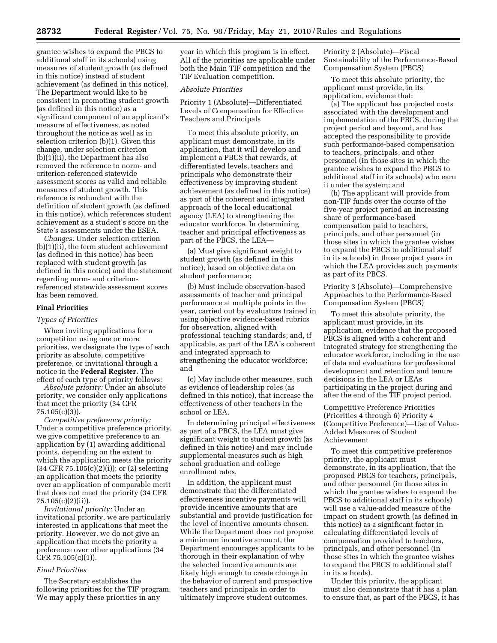grantee wishes to expand the PBCS to additional staff in its schools) using measures of student growth (as defined in this notice) instead of student achievement (as defined in this notice). The Department would like to be consistent in promoting student growth (as defined in this notice) as a significant component of an applicant's measure of effectiveness, as noted throughout the notice as well as in selection criterion (b)(1). Given this change, under selection criterion (b)(1)(ii), the Department has also removed the reference to norm- and criterion-referenced statewide assessment scores as valid and reliable measures of student growth. This reference is redundant with the definition of student growth (as defined in this notice), which references student achievement as a student's score on the State's assessments under the ESEA.

*Changes:* Under selection criterion (b)(1)(ii), the term student achievement (as defined in this notice) has been replaced with student growth (as defined in this notice) and the statement regarding norm- and criterionreferenced statewide assessment scores has been removed.

#### **Final Priorities**

#### *Types of Priorities*

When inviting applications for a competition using one or more priorities, we designate the type of each priority as absolute, competitive preference, or invitational through a notice in the **Federal Register.** The effect of each type of priority follows:

*Absolute priority:* Under an absolute priority, we consider only applications that meet the priority (34 CFR 75.105(c)(3)).

*Competitive preference priority:*  Under a competitive preference priority, we give competitive preference to an application by (1) awarding additional points, depending on the extent to which the application meets the priority (34 CFR 75.105(c)(2)(i)); or (2) selecting an application that meets the priority over an application of comparable merit that does not meet the priority (34 CFR 75.105(c)(2)(ii)).

*Invitational priority:* Under an invitational priority, we are particularly interested in applications that meet the priority. However, we do not give an application that meets the priority a preference over other applications (34 CFR 75.105(c)(1)).

#### *Final Priorities*

The Secretary establishes the following priorities for the TIF program. We may apply these priorities in any

year in which this program is in effect. All of the priorities are applicable under both the Main TIF competition and the TIF Evaluation competition.

#### *Absolute Priorities*

Priority 1 (Absolute)—Differentiated Levels of Compensation for Effective Teachers and Principals

To meet this absolute priority, an applicant must demonstrate, in its application, that it will develop and implement a PBCS that rewards, at differentiated levels, teachers and principals who demonstrate their effectiveness by improving student achievement (as defined in this notice) as part of the coherent and integrated approach of the local educational agency (LEA) to strengthening the educator workforce. In determining teacher and principal effectiveness as part of the PBCS, the LEA—

(a) Must give significant weight to student growth (as defined in this notice), based on objective data on student performance;

(b) Must include observation-based assessments of teacher and principal performance at multiple points in the year, carried out by evaluators trained in using objective evidence-based rubrics for observation, aligned with professional teaching standards; and, if applicable, as part of the LEA's coherent and integrated approach to strengthening the educator workforce; and

(c) May include other measures, such as evidence of leadership roles (as defined in this notice), that increase the effectiveness of other teachers in the school or LEA.

In determining principal effectiveness as part of a PBCS, the LEA must give significant weight to student growth (as defined in this notice) and may include supplemental measures such as high school graduation and college enrollment rates.

In addition, the applicant must demonstrate that the differentiated effectiveness incentive payments will provide incentive amounts that are substantial and provide justification for the level of incentive amounts chosen. While the Department does not propose a minimum incentive amount, the Department encourages applicants to be thorough in their explanation of why the selected incentive amounts are likely high enough to create change in the behavior of current and prospective teachers and principals in order to ultimately improve student outcomes.

Priority 2 (Absolute)—Fiscal Sustainability of the Performance-Based Compensation System (PBCS)

To meet this absolute priority, the applicant must provide, in its application, evidence that:

(a) The applicant has projected costs associated with the development and implementation of the PBCS, during the project period and beyond, and has accepted the responsibility to provide such performance-based compensation to teachers, principals, and other personnel (in those sites in which the grantee wishes to expand the PBCS to additional staff in its schools) who earn it under the system; and

(b) The applicant will provide from non-TIF funds over the course of the five-year project period an increasing share of performance-based compensation paid to teachers, principals, and other personnel (in those sites in which the grantee wishes to expand the PBCS to additional staff in its schools) in those project years in which the LEA provides such payments as part of its PBCS.

Priority 3 (Absolute)—Comprehensive Approaches to the Performance-Based Compensation System (PBCS)

To meet this absolute priority, the applicant must provide, in its application, evidence that the proposed PBCS is aligned with a coherent and integrated strategy for strengthening the educator workforce, including in the use of data and evaluations for professional development and retention and tenure decisions in the LEA or LEAs participating in the project during and after the end of the TIF project period.

Competitive Preference Priorities (Priorities 4 through 6) Priority 4 (Competitive Preference)—Use of Value-Added Measures of Student Achievement

To meet this competitive preference priority, the applicant must demonstrate, in its application, that the proposed PBCS for teachers, principals, and other personnel (in those sites in which the grantee wishes to expand the PBCS to additional staff in its schools) will use a value-added measure of the impact on student growth (as defined in this notice) as a significant factor in calculating differentiated levels of compensation provided to teachers, principals, and other personnel (in those sites in which the grantee wishes to expand the PBCS to additional staff in its schools).

Under this priority, the applicant must also demonstrate that it has a plan to ensure that, as part of the PBCS, it has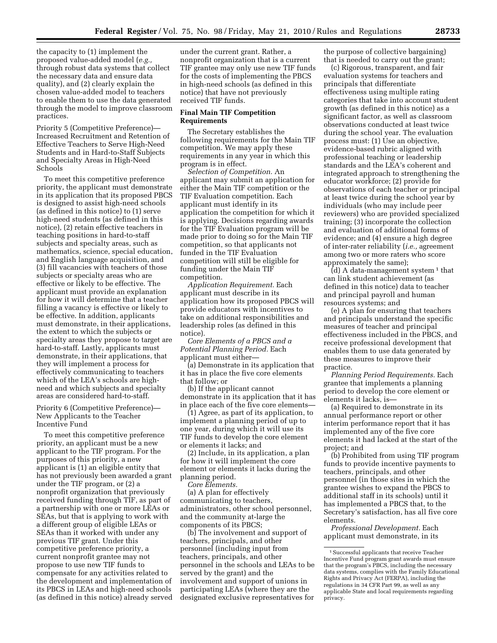the capacity to (1) implement the proposed value-added model (*e.g.,*  through robust data systems that collect the necessary data and ensure data quality), and (2) clearly explain the chosen value-added model to teachers to enable them to use the data generated through the model to improve classroom practices.

Priority 5 (Competitive Preference)— Increased Recruitment and Retention of Effective Teachers to Serve High-Need Students and in Hard-to-Staff Subjects and Specialty Areas in High-Need Schools

To meet this competitive preference priority, the applicant must demonstrate in its application that its proposed PBCS is designed to assist high-need schools (as defined in this notice) to (1) serve high-need students (as defined in this notice), (2) retain effective teachers in teaching positions in hard-to-staff subjects and specialty areas, such as mathematics, science, special education, and English language acquisition, and (3) fill vacancies with teachers of those subjects or specialty areas who are effective or likely to be effective. The applicant must provide an explanation for how it will determine that a teacher filling a vacancy is effective or likely to be effective. In addition, applicants must demonstrate, in their applications, the extent to which the subjects or specialty areas they propose to target are hard-to-staff. Lastly, applicants must demonstrate, in their applications, that they will implement a process for effectively communicating to teachers which of the LEA's schools are highneed and which subjects and specialty areas are considered hard-to-staff.

Priority 6 (Competitive Preference)— New Applicants to the Teacher Incentive Fund

To meet this competitive preference priority, an applicant must be a new applicant to the TIF program. For the purposes of this priority, a new applicant is (1) an eligible entity that has not previously been awarded a grant under the TIF program, or (2) a nonprofit organization that previously received funding through TIF, as part of a partnership with one or more LEAs or SEAs, but that is applying to work with a different group of eligible LEAs or SEAs than it worked with under any previous TIF grant. Under this competitive preference priority, a current nonprofit grantee may not propose to use new TIF funds to compensate for any activities related to the development and implementation of its PBCS in LEAs and high-need schools (as defined in this notice) already served under the current grant. Rather, a nonprofit organization that is a current TIF grantee may only use new TIF funds for the costs of implementing the PBCS in high-need schools (as defined in this notice) that have not previously received TIF funds.

#### **Final Main TIF Competition Requirements**

The Secretary establishes the following requirements for the Main TIF competition. We may apply these requirements in any year in which this program is in effect.

*Selection of Competition.* An applicant may submit an application for either the Main TIF competition or the TIF Evaluation competition. Each applicant must identify in its application the competition for which it is applying. Decisions regarding awards for the TIF Evaluation program will be made prior to doing so for the Main TIF competition, so that applicants not funded in the TIF Evaluation competition will still be eligible for funding under the Main TIF competition.

*Application Requirement.* Each applicant must describe in its application how its proposed PBCS will provide educators with incentives to take on additional responsibilities and leadership roles (as defined in this notice).

*Core Elements of a PBCS and a Potential Planning Period.* Each applicant must either—

(a) Demonstrate in its application that it has in place the five core elements that follow; or

(b) If the applicant cannot demonstrate in its application that it has in place each of the five core elements—

(1) Agree, as part of its application, to implement a planning period of up to one year, during which it will use its TIF funds to develop the core element or elements it lacks; and

(2) Include, in its application, a plan for how it will implement the core element or elements it lacks during the planning period.

*Core Elements.* 

(a) A plan for effectively communicating to teachers, administrators, other school personnel, and the community at-large the components of its PBCS;

(b) The involvement and support of teachers, principals, and other personnel (including input from teachers, principals, and other personnel in the schools and LEAs to be served by the grant) and the involvement and support of unions in participating LEAs (where they are the designated exclusive representatives for

the purpose of collective bargaining) that is needed to carry out the grant;

(c) Rigorous, transparent, and fair evaluation systems for teachers and principals that differentiate effectiveness using multiple rating categories that take into account student growth (as defined in this notice) as a significant factor, as well as classroom observations conducted at least twice during the school year. The evaluation process must: (1) Use an objective, evidence-based rubric aligned with professional teaching or leadership standards and the LEA's coherent and integrated approach to strengthening the educator workforce; (2) provide for observations of each teacher or principal at least twice during the school year by individuals (who may include peer reviewers) who are provided specialized training; (3) incorporate the collection and evaluation of additional forms of evidence; and (4) ensure a high degree of inter-rater reliability (*i.e.,* agreement among two or more raters who score approximately the same);

 $(d)$  A data-management system  $1$  that can link student achievement (as defined in this notice) data to teacher and principal payroll and human resources systems; and

(e) A plan for ensuring that teachers and principals understand the specific measures of teacher and principal effectiveness included in the PBCS, and receive professional development that enables them to use data generated by these measures to improve their practice.

*Planning Period Requirements.* Each grantee that implements a planning period to develop the core element or elements it lacks, is—

(a) Required to demonstrate in its annual performance report or other interim performance report that it has implemented any of the five core elements it had lacked at the start of the project; and

(b) Prohibited from using TIF program funds to provide incentive payments to teachers, principals, and other personnel (in those sites in which the grantee wishes to expand the PBCS to additional staff in its schools) until it has implemented a PBCS that, to the Secretary's satisfaction, has all five core elements.

*Professional Development.* Each applicant must demonstrate, in its

<sup>&</sup>lt;sup>1</sup> Successful applicants that receive Teacher Incentive Fund program grant awards must ensure that the program's PBCS, including the necessary data systems, complies with the Family Educational Rights and Privacy Act (FERPA), including the regulations in 34 CFR Part 99, as well as any applicable State and local requirements regarding privacy.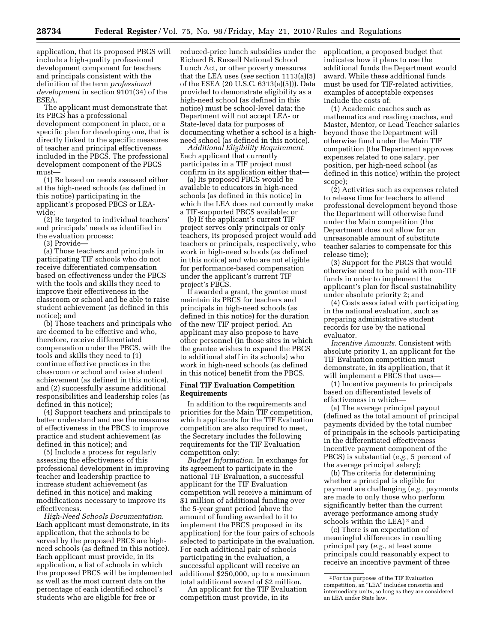application, that its proposed PBCS will include a high-quality professional development component for teachers and principals consistent with the definition of the term *professional development* in section 9101(34) of the ESEA.

The applicant must demonstrate that its PBCS has a professional development component in place, or a specific plan for developing one, that is directly linked to the specific measures of teacher and principal effectiveness included in the PBCS. The professional development component of the PBCS must—

(1) Be based on needs assessed either at the high-need schools (as defined in this notice) participating in the applicant's proposed PBCS or LEAwide;

(2) Be targeted to individual teachers' and principals' needs as identified in the evaluation process;

(3) Provide—

(a) Those teachers and principals in participating TIF schools who do not receive differentiated compensation based on effectiveness under the PBCS with the tools and skills they need to improve their effectiveness in the classroom or school and be able to raise student achievement (as defined in this notice); and

(b) Those teachers and principals who are deemed to be effective and who, therefore, receive differentiated compensation under the PBCS, with the tools and skills they need to (1) continue effective practices in the classroom or school and raise student achievement (as defined in this notice), and (2) successfully assume additional responsibilities and leadership roles (as defined in this notice);

(4) Support teachers and principals to better understand and use the measures of effectiveness in the PBCS to improve practice and student achievement (as defined in this notice); and

(5) Include a process for regularly assessing the effectiveness of this professional development in improving teacher and leadership practice to increase student achievement (as defined in this notice) and making modifications necessary to improve its effectiveness.

*High-Need Schools Documentation.*  Each applicant must demonstrate, in its application, that the schools to be served by the proposed PBCS are highneed schools (as defined in this notice). Each applicant must provide, in its application, a list of schools in which the proposed PBCS will be implemented as well as the most current data on the percentage of each identified school's students who are eligible for free or

reduced-price lunch subsidies under the Richard B. Russell National School Lunch Act, or other poverty measures that the LEA uses (*see* section 1113(a)(5) of the ESEA (20 U.S.C. 6313(a)(5))). Data provided to demonstrate eligibility as a high-need school (as defined in this notice) must be school-level data; the Department will not accept LEA- or State-level data for purposes of documenting whether a school is a highneed school (as defined in this notice).

*Additional Eligibility Requirement.*  Each applicant that currently participates in a TIF project must confirm in its application either that—

(a) Its proposed PBCS would be available to educators in high-need schools (as defined in this notice) in which the LEA does not currently make a TIF-supported PBCS available; or

(b) If the applicant's current TIF project serves only principals or only teachers, its proposed project would add teachers or principals, respectively, who work in high-need schools (as defined in this notice) and who are not eligible for performance-based compensation under the applicant's current TIF project's PBCS.

If awarded a grant, the grantee must maintain its PBCS for teachers and principals in high-need schools (as defined in this notice) for the duration of the new TIF project period. An applicant may also propose to have other personnel (in those sites in which the grantee wishes to expand the PBCS to additional staff in its schools) who work in high-need schools (as defined in this notice) benefit from the PBCS.

#### **Final TIF Evaluation Competition Requirements**

In addition to the requirements and priorities for the Main TIF competition, which applicants for the TIF Evaluation competition are also required to meet, the Secretary includes the following requirements for the TIF Evaluation competition only:

*Budget Information.* In exchange for its agreement to participate in the national TIF Evaluation, a successful applicant for the TIF Evaluation competition will receive a minimum of \$1 million of additional funding over the 5-year grant period (above the amount of funding awarded to it to implement the PBCS proposed in its application) for the four pairs of schools selected to participate in the evaluation. For each additional pair of schools participating in the evaluation, a successful applicant will receive an additional \$250,000, up to a maximum total additional award of \$2 million.

An applicant for the TIF Evaluation competition must provide, in its

application, a proposed budget that indicates how it plans to use the additional funds the Department would award. While these additional funds must be used for TIF-related activities, examples of acceptable expenses include the costs of:

(1) Academic coaches such as mathematics and reading coaches, and Master, Mentor, or Lead Teacher salaries beyond those the Department will otherwise fund under the Main TIF competition (the Department approves expenses related to one salary, per position, per high-need school (as defined in this notice) within the project scope);

(2) Activities such as expenses related to release time for teachers to attend professional development beyond those the Department will otherwise fund under the Main competition (the Department does not allow for an unreasonable amount of substitute teacher salaries to compensate for this release time);

(3) Support for the PBCS that would otherwise need to be paid with non-TIF funds in order to implement the applicant's plan for fiscal sustainability under absolute priority 2; and

(4) Costs associated with participating in the national evaluation, such as preparing administrative student records for use by the national evaluator.

*Incentive Amounts.* Consistent with absolute priority 1, an applicant for the TIF Evaluation competition must demonstrate, in its application, that it will implement a PBCS that uses—

(1) Incentive payments to principals based on differentiated levels of effectiveness in which—

(a) The average principal payout (defined as the total amount of principal payments divided by the total number of principals in the schools participating in the differentiated effectiveness incentive payment component of the PBCS) is substantial (*e.g.,* 5 percent of the average principal salary);

(b) The criteria for determining whether a principal is eligible for payment are challenging (*e.g.,* payments are made to only those who perform significantly better than the current average performance among study schools within the LEA)<sup>2</sup> and

(c) There is an expectation of meaningful differences in resulting principal pay (*e.g.,* at least some principals could reasonably expect to receive an incentive payment of three

<sup>2</sup>For the purposes of the TIF Evaluation competition, an ''LEA'' includes consortia and intermediary units, so long as they are considered an LEA under State law.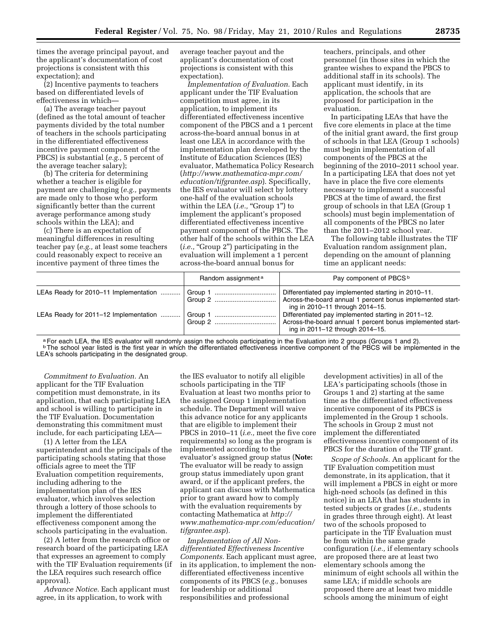times the average principal payout, and the applicant's documentation of cost projections is consistent with this expectation); and

(2) Incentive payments to teachers based on differentiated levels of effectiveness in which—

(a) The average teacher payout (defined as the total amount of teacher payments divided by the total number of teachers in the schools participating in the differentiated effectiveness incentive payment component of the PBCS) is substantial (*e.g.,* 5 percent of the average teacher salary);

(b) The criteria for determining whether a teacher is eligible for payment are challenging (*e.g.,* payments are made only to those who perform significantly better than the current average performance among study schools within the LEA); and

(c) There is an expectation of meaningful differences in resulting teacher pay (*e.g.,* at least some teachers could reasonably expect to receive an incentive payment of three times the

average teacher payout and the applicant's documentation of cost projections is consistent with this expectation).

*Implementation of Evaluation.* Each applicant under the TIF Evaluation competition must agree, in its application, to implement its differentiated effectiveness incentive component of the PBCS and a 1 percent across-the-board annual bonus in at least one LEA in accordance with the implementation plan developed by the Institute of Education Sciences (IES) evaluator, Mathematica Policy Research (*http://www.mathematica-mpr.com/ education/tifgrantee.asp*). Specifically, the IES evaluator will select by lottery one-half of the evaluation schools within the LEA (*i.e.*, "Group 1") to implement the applicant's proposed differentiated effectiveness incentive payment component of the PBCS. The other half of the schools within the LEA (*i.e.*, "Group 2") participating in the evaluation will implement a 1 percent across-the-board annual bonus for

teachers, principals, and other personnel (in those sites in which the grantee wishes to expand the PBCS to additional staff in its schools). The applicant must identify, in its application, the schools that are proposed for participation in the evaluation.

In participating LEAs that have the five core elements in place at the time of the initial grant award, the first group of schools in that LEA (Group 1 schools) must begin implementation of all components of the PBCS at the beginning of the 2010–2011 school year. In a participating LEA that does not yet have in place the five core elements necessary to implement a successful PBCS at the time of award, the first group of schools in that LEA (Group 1 schools) must begin implementation of all components of the PBCS no later than the 2011–2012 school year.

The following table illustrates the TIF Evaluation random assignment plan, depending on the amount of planning time an applicant needs:

|                                       | Random assignment <sup>a</sup> | Pay component of PBCS <sup>b</sup>                                                                                                                   |
|---------------------------------------|--------------------------------|------------------------------------------------------------------------------------------------------------------------------------------------------|
| LEAs Ready for 2010–11 Implementation |                                | Differentiated pay implemented starting in 2010-11.<br>Across-the-board annual 1 percent bonus implemented start-<br>ing in 2010-11 through 2014-15. |
| LEAs Ready for 2011–12 Implementation |                                | Differentiated pay implemented starting in 2011-12.<br>Across-the-board annual 1 percent bonus implemented start-<br>ing in 2011-12 through 2014-15. |

a For each LEA, the IES evaluator will randomly assign the schools participating in the Evaluation into 2 groups (Groups 1 and 2).<br><sup>b</sup> The school year listed is the first year in which the differentiated effectiveness ince LEA's schools participating in the designated group.

*Commitment to Evaluation.* An applicant for the TIF Evaluation competition must demonstrate, in its application, that each participating LEA and school is willing to participate in the TIF Evaluation. Documentation demonstrating this commitment must include, for each participating LEA—

(1) A letter from the LEA superintendent and the principals of the participating schools stating that those officials agree to meet the TIF Evaluation competition requirements, including adhering to the implementation plan of the IES evaluator, which involves selection through a lottery of those schools to implement the differentiated effectiveness component among the schools participating in the evaluation.

(2) A letter from the research office or research board of the participating LEA that expresses an agreement to comply with the TIF Evaluation requirements (if the LEA requires such research office approval).

*Advance Notice.* Each applicant must agree, in its application, to work with

the IES evaluator to notify all eligible schools participating in the TIF Evaluation at least two months prior to the assigned Group 1 implementation schedule. The Department will waive this advance notice for any applicants that are eligible to implement their PBCS in 2010–11 (*i.e.,* meet the five core requirements) so long as the program is implemented according to the evaluator's assigned group status (**Note:**  The evaluator will be ready to assign group status immediately upon grant award, or if the applicant prefers, the applicant can discuss with Mathematica prior to grant award how to comply with the evaluation requirements by contacting Mathematica at *http:// www.mathematica-mpr.com/education/ tifgrantee.asp*).

*Implementation of All Nondifferentiated Effectiveness Incentive Components.* Each applicant must agree, in its application, to implement the nondifferentiated effectiveness incentive components of its PBCS (*e.g.,* bonuses for leadership or additional responsibilities and professional

development activities) in all of the LEA's participating schools (those in Groups 1 and 2) starting at the same time as the differentiated effectiveness incentive component of its PBCS is implemented in the Group 1 schools. The schools in Group 2 must not implement the differentiated effectiveness incentive component of its PBCS for the duration of the TIF grant.

*Scope of Schools.* An applicant for the TIF Evaluation competition must demonstrate, in its application, that it will implement a PBCS in eight or more high-need schools (as defined in this notice) in an LEA that has students in tested subjects or grades (*i.e.,* students in grades three through eight). At least two of the schools proposed to participate in the TIF Evaluation must be from within the same grade configuration (*i.e.,* if elementary schools are proposed there are at least two elementary schools among the minimum of eight schools all within the same LEA; if middle schools are proposed there are at least two middle schools among the minimum of eight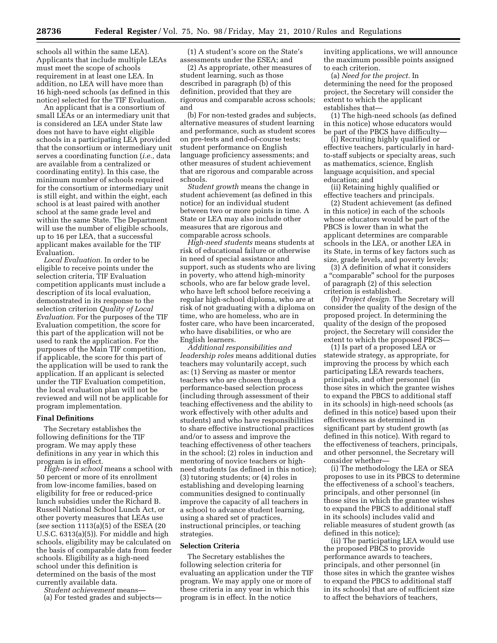schools all within the same LEA). Applicants that include multiple LEAs must meet the scope of schools requirement in at least one LEA. In addition, no LEA will have more than 16 high-need schools (as defined in this notice) selected for the TIF Evaluation.

An applicant that is a consortium of small LEAs or an intermediary unit that is considered an LEA under State law does not have to have eight eligible schools in a participating LEA provided that the consortium or intermediary unit serves a coordinating function (*i.e.,* data are available from a centralized or coordinating entity). In this case, the minimum number of schools required for the consortium or intermediary unit is still eight, and within the eight, each school is at least paired with another school at the same grade level and within the same State. The Department will use the number of eligible schools, up to 16 per LEA, that a successful applicant makes available for the TIF Evaluation.

*Local Evaluation.* In order to be eligible to receive points under the selection criteria, TIF Evaluation competition applicants must include a description of its local evaluation, demonstrated in its response to the selection criterion *Quality of Local Evaluation.* For the purposes of the TIF Evaluation competition, the score for this part of the application will not be used to rank the application. For the purposes of the Main TIF competition, if applicable, the score for this part of the application will be used to rank the application. If an applicant is selected under the TIF Evaluation competition, the local evaluation plan will not be reviewed and will not be applicable for program implementation.

#### **Final Definitions**

The Secretary establishes the following definitions for the TIF program. We may apply these definitions in any year in which this program is in effect.

*High-need school* means a school with 50 percent or more of its enrollment from low-income families, based on eligibility for free or reduced-price lunch subsidies under the Richard B. Russell National School Lunch Act, or other poverty measures that LEAs use (*see* section 1113(a)(5) of the ESEA (20 U.S.C. 6313(a)(5)). For middle and high schools, eligibility may be calculated on the basis of comparable data from feeder schools. Eligibility as a high-need school under this definition is determined on the basis of the most currently available data.

*Student achievement* means—

(a) For tested grades and subjects—

(1) A student's score on the State's assessments under the ESEA; and

(2) As appropriate, other measures of student learning, such as those described in paragraph (b) of this definition, provided that they are rigorous and comparable across schools; and

(b) For non-tested grades and subjects, alternative measures of student learning and performance, such as student scores on pre-tests and end-of-course tests; student performance on English language proficiency assessments; and other measures of student achievement that are rigorous and comparable across schools.

*Student growth* means the change in student achievement (as defined in this notice) for an individual student between two or more points in time. A State or LEA may also include other measures that are rigorous and comparable across schools.

*High-need students* means students at risk of educational failure or otherwise in need of special assistance and support, such as students who are living in poverty, who attend high-minority schools, who are far below grade level, who have left school before receiving a regular high-school diploma, who are at risk of not graduating with a diploma on time, who are homeless, who are in foster care, who have been incarcerated, who have disabilities, or who are English learners.

*Additional responsibilities and leadership roles* means additional duties teachers may voluntarily accept, such as: (1) Serving as master or mentor teachers who are chosen through a performance-based selection process (including through assessment of their teaching effectiveness and the ability to work effectively with other adults and students) and who have responsibilities to share effective instructional practices and/or to assess and improve the teaching effectiveness of other teachers in the school; (2) roles in induction and mentoring of novice teachers or highneed students (as defined in this notice); (3) tutoring students; or (4) roles in establishing and developing learning communities designed to continually improve the capacity of all teachers in a school to advance student learning, using a shared set of practices, instructional principles, or teaching strategies.

#### **Selection Criteria**

The Secretary establishes the following selection criteria for evaluating an application under the TIF program. We may apply one or more of these criteria in any year in which this program is in effect. In the notice

inviting applications, we will announce the maximum possible points assigned to each criterion.

(a) *Need for the project.* In determining the need for the proposed project, the Secretary will consider the extent to which the applicant establishes that—

(1) The high-need schools (as defined in this notice) whose educators would be part of the PBCS have difficulty—

(i) Recruiting highly qualified or effective teachers, particularly in hardto-staff subjects or specialty areas, such as mathematics, science, English language acquisition, and special education; and

(ii) Retaining highly qualified or effective teachers and principals.

(2) Student achievement (as defined in this notice) in each of the schools whose educators would be part of the PBCS is lower than in what the applicant determines are comparable schools in the LEA, or another LEA in its State, in terms of key factors such as size, grade levels, and poverty levels;

(3) A definition of what it considers a ''comparable'' school for the purposes of paragraph (2) of this selection criterion is established.

(b) *Project design.* The Secretary will consider the quality of the design of the proposed project. In determining the quality of the design of the proposed project, the Secretary will consider the extent to which the proposed PBCS—

(1) Is part of a proposed LEA or statewide strategy, as appropriate, for improving the process by which each participating LEA rewards teachers, principals, and other personnel (in those sites in which the grantee wishes to expand the PBCS to additional staff in its schools) in high-need schools (as defined in this notice) based upon their effectiveness as determined in significant part by student growth (as defined in this notice). With regard to the effectiveness of teachers, principals, and other personnel, the Secretary will consider whether—

(i) The methodology the LEA or SEA proposes to use in its PBCS to determine the effectiveness of a school's teachers, principals, and other personnel (in those sites in which the grantee wishes to expand the PBCS to additional staff in its schools) includes valid and reliable measures of student growth (as defined in this notice);

(ii) The participating LEA would use the proposed PBCS to provide performance awards to teachers, principals, and other personnel (in those sites in which the grantee wishes to expand the PBCS to additional staff in its schools) that are of sufficient size to affect the behaviors of teachers,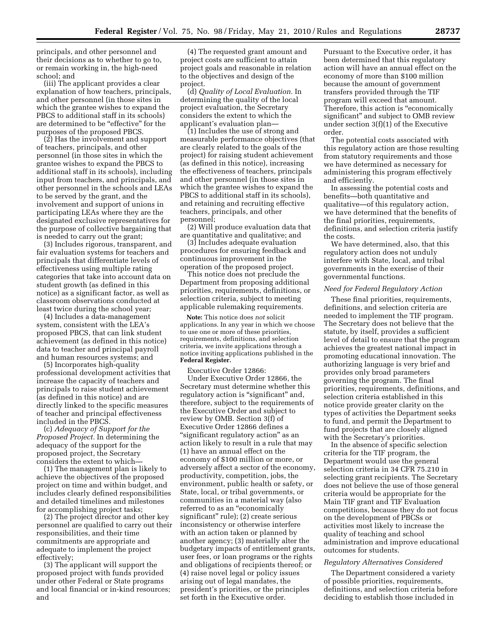principals, and other personnel and their decisions as to whether to go to, or remain working in, the high-need school; and

(iii) The applicant provides a clear explanation of how teachers, principals, and other personnel (in those sites in which the grantee wishes to expand the PBCS to additional staff in its schools) are determined to be ''effective'' for the purposes of the proposed PBCS.

(2) Has the involvement and support of teachers, principals, and other personnel (in those sites in which the grantee wishes to expand the PBCS to additional staff in its schools), including input from teachers, and principals, and other personnel in the schools and LEAs to be served by the grant, and the involvement and support of unions in participating LEAs where they are the designated exclusive representatives for the purpose of collective bargaining that is needed to carry out the grant;

(3) Includes rigorous, transparent, and fair evaluation systems for teachers and principals that differentiate levels of effectiveness using multiple rating categories that take into account data on student growth (as defined in this notice) as a significant factor, as well as classroom observations conducted at least twice during the school year;

(4) Includes a data-management system, consistent with the LEA's proposed PBCS, that can link student achievement (as defined in this notice) data to teacher and principal payroll and human resources systems; and

(5) Incorporates high-quality professional development activities that increase the capacity of teachers and principals to raise student achievement (as defined in this notice) and are directly linked to the specific measures of teacher and principal effectiveness included in the PBCS.

(c) *Adequacy of Support for the Proposed Project.* In determining the adequacy of the support for the proposed project, the Secretary considers the extent to which—

(1) The management plan is likely to achieve the objectives of the proposed project on time and within budget, and includes clearly defined responsibilities and detailed timelines and milestones for accomplishing project tasks;

(2) The project director and other key personnel are qualified to carry out their responsibilities, and their time commitments are appropriate and adequate to implement the project effectively;

(3) The applicant will support the proposed project with funds provided under other Federal or State programs and local financial or in-kind resources; and

(4) The requested grant amount and project costs are sufficient to attain project goals and reasonable in relation to the objectives and design of the project.

(d) *Quality of Local Evaluation.* In determining the quality of the local project evaluation, the Secretary considers the extent to which the applicant's evaluation plan—

(1) Includes the use of strong and measurable performance objectives (that are clearly related to the goals of the project) for raising student achievement (as defined in this notice), increasing the effectiveness of teachers, principals and other personnel (in those sites in which the grantee wishes to expand the PBCS to additional staff in its schools), and retaining and recruiting effective teachers, principals, and other personnel;

(2) Will produce evaluation data that are quantitative and qualitative; and

(3) Includes adequate evaluation procedures for ensuring feedback and continuous improvement in the operation of the proposed project.

This notice does not preclude the Department from proposing additional priorities, requirements, definitions, or selection criteria, subject to meeting applicable rulemaking requirements.

**Note:** This notice does *not* solicit applications. In any year in which we choose to use one or more of these priorities, requirements, definitions, and selection criteria, we invite applications through a notice inviting applications published in the **Federal Register.** 

Executive Order 12866:

Under Executive Order 12866, the Secretary must determine whether this regulatory action is "significant" and, therefore, subject to the requirements of the Executive Order and subject to review by OMB. Section 3(f) of Executive Order 12866 defines a ''significant regulatory action'' as an action likely to result in a rule that may (1) have an annual effect on the economy of \$100 million or more, or adversely affect a sector of the economy, productivity, competition, jobs, the environment, public health or safety, or State, local, or tribal governments, or communities in a material way (also referred to as an "economically significant'' rule); (2) create serious inconsistency or otherwise interfere with an action taken or planned by another agency; (3) materially alter the budgetary impacts of entitlement grants, user fees, or loan programs or the rights and obligations of recipients thereof; or (4) raise novel legal or policy issues arising out of legal mandates, the president's priorities, or the principles set forth in the Executive order.

Pursuant to the Executive order, it has been determined that this regulatory action will have an annual effect on the economy of more than \$100 million because the amount of government transfers provided through the TIF program will exceed that amount. Therefore, this action is ''economically significant'' and subject to OMB review under section 3(f)(1) of the Executive order.

The potential costs associated with this regulatory action are those resulting from statutory requirements and those we have determined as necessary for administering this program effectively and efficiently.

In assessing the potential costs and benefits—both quantitative and qualitative—of this regulatory action, we have determined that the benefits of the final priorities, requirements, definitions, and selection criteria justify the costs.

We have determined, also, that this regulatory action does not unduly interfere with State, local, and tribal governments in the exercise of their governmental functions.

#### *Need for Federal Regulatory Action*

These final priorities, requirements, definitions, and selection criteria are needed to implement the TIF program. The Secretary does not believe that the statute, by itself, provides a sufficient level of detail to ensure that the program achieves the greatest national impact in promoting educational innovation. The authorizing language is very brief and provides only broad parameters governing the program. The final priorities, requirements, definitions, and selection criteria established in this notice provide greater clarity on the types of activities the Department seeks to fund, and permit the Department to fund projects that are closely aligned with the Secretary's priorities.

In the absence of specific selection criteria for the TIF program, the Department would use the general selection criteria in 34 CFR 75.210 in selecting grant recipients. The Secretary does not believe the use of those general criteria would be appropriate for the Main TIF grant and TIF Evaluation competitions, because they do not focus on the development of PBCSs or activities most likely to increase the quality of teaching and school administration and improve educational outcomes for students.

#### *Regulatory Alternatives Considered*

The Department considered a variety of possible priorities, requirements, definitions, and selection criteria before deciding to establish those included in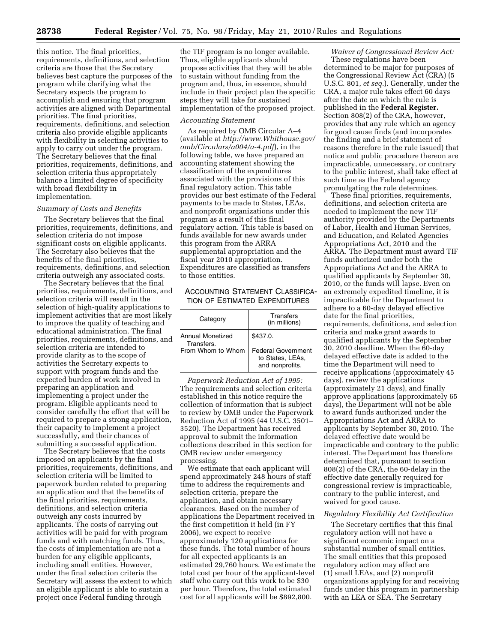this notice. The final priorities, requirements, definitions, and selection criteria are those that the Secretary believes best capture the purposes of the program while clarifying what the Secretary expects the program to accomplish and ensuring that program activities are aligned with Departmental priorities. The final priorities, requirements, definitions, and selection criteria also provide eligible applicants with flexibility in selecting activities to apply to carry out under the program. The Secretary believes that the final priorities, requirements, definitions, and selection criteria thus appropriately balance a limited degree of specificity with broad flexibility in implementation.

#### *Summary of Costs and Benefits*

The Secretary believes that the final priorities, requirements, definitions, and selection criteria do not impose significant costs on eligible applicants. The Secretary also believes that the benefits of the final priorities, requirements, definitions, and selection criteria outweigh any associated costs.

The Secretary believes that the final priorities, requirements, definitions, and selection criteria will result in the selection of high-quality applications to implement activities that are most likely to improve the quality of teaching and educational administration. The final priorities, requirements, definitions, and selection criteria are intended to provide clarity as to the scope of activities the Secretary expects to support with program funds and the expected burden of work involved in preparing an application and implementing a project under the program. Eligible applicants need to consider carefully the effort that will be required to prepare a strong application, their capacity to implement a project successfully, and their chances of submitting a successful application.

The Secretary believes that the costs imposed on applicants by the final priorities, requirements, definitions, and selection criteria will be limited to paperwork burden related to preparing an application and that the benefits of the final priorities, requirements, definitions, and selection criteria outweigh any costs incurred by applicants. The costs of carrying out activities will be paid for with program funds and with matching funds. Thus, the costs of implementation are not a burden for any eligible applicants, including small entities. However, under the final selection criteria the Secretary will assess the extent to which an eligible applicant is able to sustain a project once Federal funding through

the TIF program is no longer available. Thus, eligible applicants should propose activities that they will be able to sustain without funding from the program and, thus, in essence, should include in their project plan the specific steps they will take for sustained implementation of the proposed project.

#### *Accounting Statement*

As required by OMB Circular A–4 (available at *http://www.Whithouse.gov/ omb/Circulars/a004/a-4.pdf*), in the following table, we have prepared an accounting statement showing the classification of the expenditures associated with the provisions of this final regulatory action. This table provides our best estimate of the Federal payments to be made to States, LEAs, and nonprofit organizations under this program as a result of this final regulatory action. This table is based on funds available for new awards under this program from the ARRA supplemental appropriation and the fiscal year 2010 appropriation. Expenditures are classified as transfers to those entities.

#### ACCOUNTING STATEMENT CLASSIFICA-TION OF ESTIMATED EXPENDITURES

| Category                       | Transfers<br>(in millions)                                       |
|--------------------------------|------------------------------------------------------------------|
| Annual Monetized<br>Transfers. | \$437.0.                                                         |
| From Whom to Whom              | <b>Federal Government</b><br>to States, LEAs,<br>and nonprofits. |

*Paperwork Reduction Act of 1995:*  The requirements and selection criteria established in this notice require the collection of information that is subject to review by OMB under the Paperwork Reduction Act of 1995 (44 U.S.C. 3501– 3520). The Department has received approval to submit the information collections described in this section for OMB review under emergency processing.

We estimate that each applicant will spend approximately 248 hours of staff time to address the requirements and selection criteria, prepare the application, and obtain necessary clearances. Based on the number of applications the Department received in the first competition it held (in FY 2006), we expect to receive approximately 120 applications for these funds. The total number of hours for all expected applicants is an estimated 29,760 hours. We estimate the total cost per hour of the applicant-level staff who carry out this work to be \$30 per hour. Therefore, the total estimated cost for all applicants will be \$892,800.

*Waiver of Congressional Review Act:*  These regulations have been determined to be major for purposes of the Congressional Review Act (CRA) (5 U.S.C. 801, *et seq.*). Generally, under the CRA, a major rule takes effect 60 days after the date on which the rule is published in the **Federal Register.**  Section 808(2) of the CRA, however, provides that any rule which an agency for good cause finds (and incorporates the finding and a brief statement of reasons therefore in the rule issued) that notice and public procedure thereon are impracticable, unnecessary, or contrary to the public interest, shall take effect at such time as the Federal agency promulgating the rule determines.

These final priorities, requirements, definitions, and selection criteria are needed to implement the new TIF authority provided by the Departments of Labor, Health and Human Services, and Education, and Related Agencies Appropriations Act, 2010 and the ARRA. The Department must award TIF funds authorized under both the Appropriations Act and the ARRA to qualified applicants by September 30, 2010, or the funds will lapse. Even on an extremely expedited timeline, it is impracticable for the Department to adhere to a 60-day delayed effective date for the final priorities, requirements, definitions, and selection criteria and make grant awards to qualified applicants by the September 30, 2010 deadline. When the 60-day delayed effective date is added to the time the Department will need to receive applications (approximately 45 days), review the applications (approximately 21 days), and finally approve applications (approximately 65 days), the Department will not be able to award funds authorized under the Appropriations Act and ARRA to applicants by September 30, 2010. The delayed effective date would be impracticable and contrary to the public interest. The Department has therefore determined that, pursuant to section 808(2) of the CRA, the 60-delay in the effective date generally required for congressional review is impracticable, contrary to the public interest, and waived for good cause.

#### *Regulatory Flexibility Act Certification*

The Secretary certifies that this final regulatory action will not have a significant economic impact on a substantial number of small entities. The small entities that this proposed regulatory action may affect are (1) small LEAs, and (2) nonprofit organizations applying for and receiving funds under this program in partnership with an LEA or SEA. The Secretary